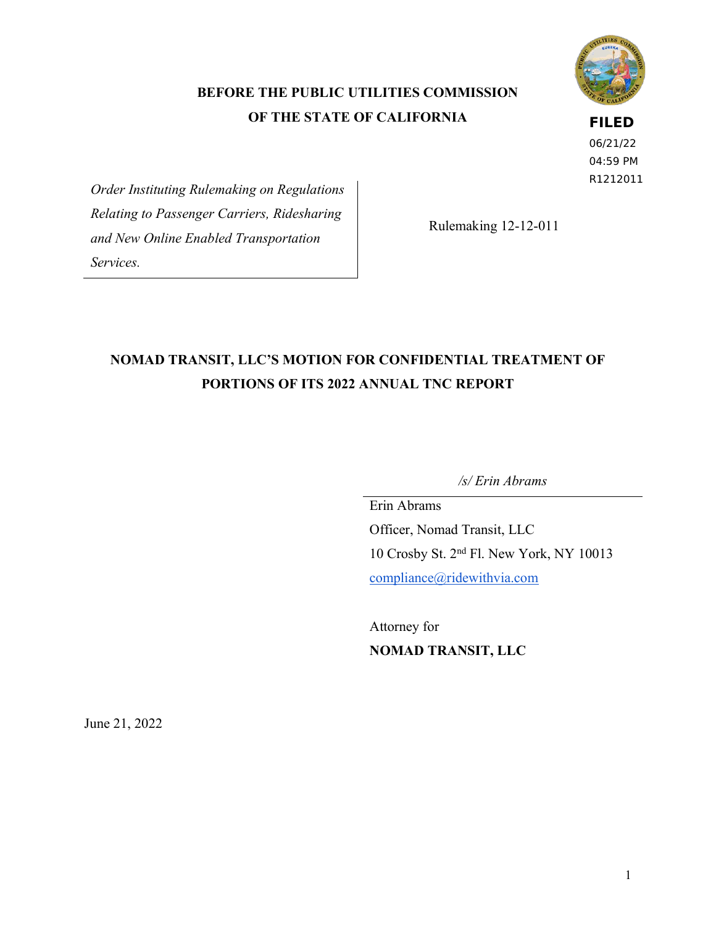### **BEFORE THE PUBLIC UTILITIES COMMISSION OF THE STATE OF CALIFORNIA**

### **FILED**

06/21/22 04:59 PM R1212011

*Order Instituting Rulemaking on Regulations Relating to Passenger Carriers, Ridesharing and New Online Enabled Transportation Services.*

Rulemaking 12-12-011

# **NOMAD TRANSIT, LLC'S MOTION FOR CONFIDENTIAL TREATMENT OF PORTIONS OF ITS 2022 ANNUAL TNC REPORT**

*/s/ Erin Abrams*

Erin Abrams Officer, Nomad Transit, LLC 10 Crosby St. 2nd Fl. New York, NY 10013 [compliance@ridewithvia.com](mailto:compliance@ridewithvia.com)

Attorney for **NOMAD TRANSIT, LLC**

June 21, 2022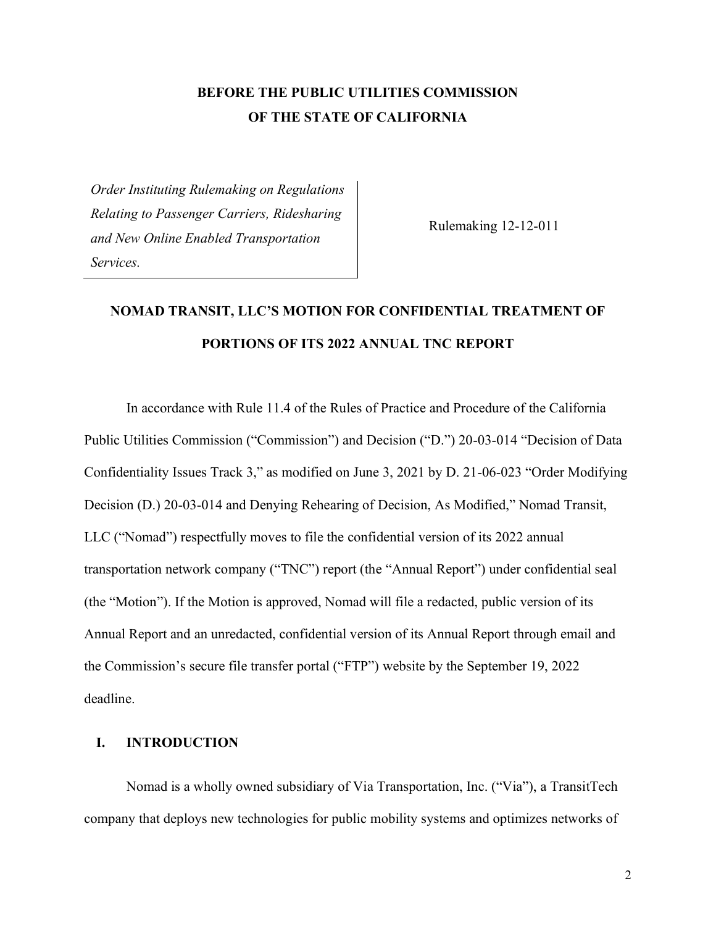### **BEFORE THE PUBLIC UTILITIES COMMISSION OF THE STATE OF CALIFORNIA**

*Order Instituting Rulemaking on Regulations Relating to Passenger Carriers, Ridesharing and New Online Enabled Transportation Services.*

Rulemaking 12-12-011

# **NOMAD TRANSIT, LLC'S MOTION FOR CONFIDENTIAL TREATMENT OF PORTIONS OF ITS 2022 ANNUAL TNC REPORT**

In accordance with Rule 11.4 of the Rules of Practice and Procedure of the California Public Utilities Commission ("Commission") and Decision ("D.") 20-03-014 "Decision of Data Confidentiality Issues Track 3," as modified on June 3, 2021 by D. 21-06-023 "Order Modifying Decision (D.) 20-03-014 and Denying Rehearing of Decision, As Modified," Nomad Transit, LLC ("Nomad") respectfully moves to file the confidential version of its 2022 annual transportation network company ("TNC") report (the "Annual Report") under confidential seal (the "Motion"). If the Motion is approved, Nomad will file a redacted, public version of its Annual Report and an unredacted, confidential version of its Annual Report through email and the Commission's secure file transfer portal ("FTP") website by the September 19, 2022 deadline.

#### **I. INTRODUCTION**

Nomad is a wholly owned subsidiary of Via Transportation, Inc. ("Via"), a TransitTech company that deploys new technologies for public mobility systems and optimizes networks of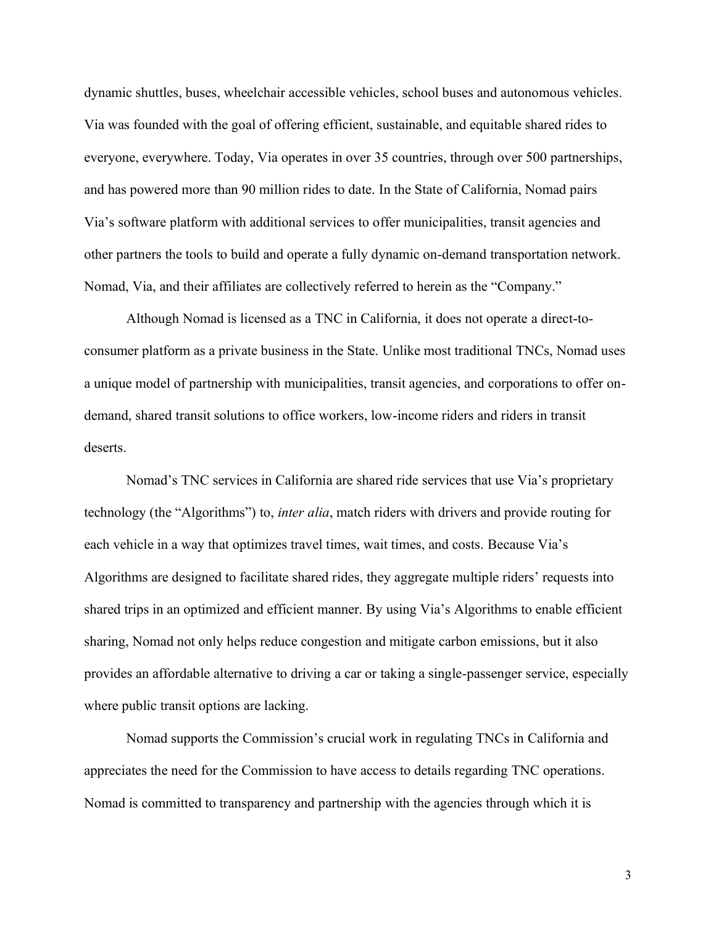dynamic shuttles, buses, wheelchair accessible vehicles, school buses and autonomous vehicles. Via was founded with the goal of offering efficient, sustainable, and equitable shared rides to everyone, everywhere. Today, Via operates in over 35 countries, through over 500 partnerships, and has powered more than 90 million rides to date. In the State of California, Nomad pairs Via's software platform with additional services to offer municipalities, transit agencies and other partners the tools to build and operate a fully dynamic on-demand transportation network. Nomad, Via, and their affiliates are collectively referred to herein as the "Company."

Although Nomad is licensed as a TNC in California, it does not operate a direct-toconsumer platform as a private business in the State. Unlike most traditional TNCs, Nomad uses a unique model of partnership with municipalities, transit agencies, and corporations to offer ondemand, shared transit solutions to office workers, low-income riders and riders in transit deserts.

Nomad's TNC services in California are shared ride services that use Via's proprietary technology (the "Algorithms") to, *inter alia*, match riders with drivers and provide routing for each vehicle in a way that optimizes travel times, wait times, and costs. Because Via's Algorithms are designed to facilitate shared rides, they aggregate multiple riders' requests into shared trips in an optimized and efficient manner. By using Via's Algorithms to enable efficient sharing, Nomad not only helps reduce congestion and mitigate carbon emissions, but it also provides an affordable alternative to driving a car or taking a single-passenger service, especially where public transit options are lacking.

Nomad supports the Commission's crucial work in regulating TNCs in California and appreciates the need for the Commission to have access to details regarding TNC operations. Nomad is committed to transparency and partnership with the agencies through which it is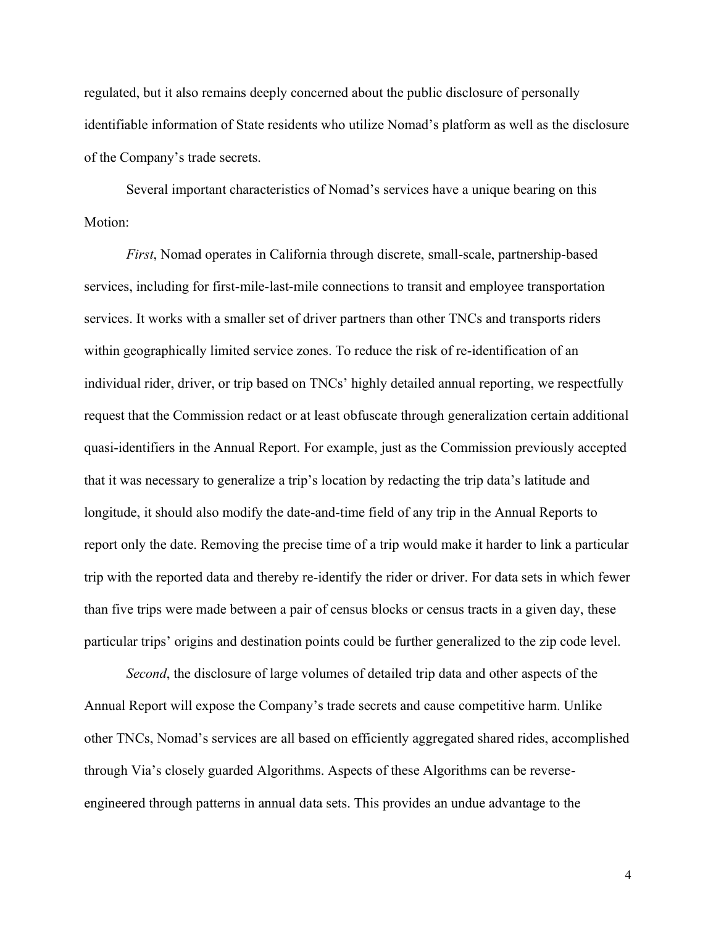regulated, but it also remains deeply concerned about the public disclosure of personally identifiable information of State residents who utilize Nomad's platform as well as the disclosure of the Company's trade secrets.

Several important characteristics of Nomad's services have a unique bearing on this Motion:

*First*, Nomad operates in California through discrete, small-scale, partnership-based services, including for first-mile-last-mile connections to transit and employee transportation services. It works with a smaller set of driver partners than other TNCs and transports riders within geographically limited service zones. To reduce the risk of re-identification of an individual rider, driver, or trip based on TNCs' highly detailed annual reporting, we respectfully request that the Commission redact or at least obfuscate through generalization certain additional quasi-identifiers in the Annual Report. For example, just as the Commission previously accepted that it was necessary to generalize a trip's location by redacting the trip data's latitude and longitude, it should also modify the date-and-time field of any trip in the Annual Reports to report only the date. Removing the precise time of a trip would make it harder to link a particular trip with the reported data and thereby re-identify the rider or driver. For data sets in which fewer than five trips were made between a pair of census blocks or census tracts in a given day, these particular trips' origins and destination points could be further generalized to the zip code level.

*Second*, the disclosure of large volumes of detailed trip data and other aspects of the Annual Report will expose the Company's trade secrets and cause competitive harm. Unlike other TNCs, Nomad's services are all based on efficiently aggregated shared rides, accomplished through Via's closely guarded Algorithms. Aspects of these Algorithms can be reverseengineered through patterns in annual data sets. This provides an undue advantage to the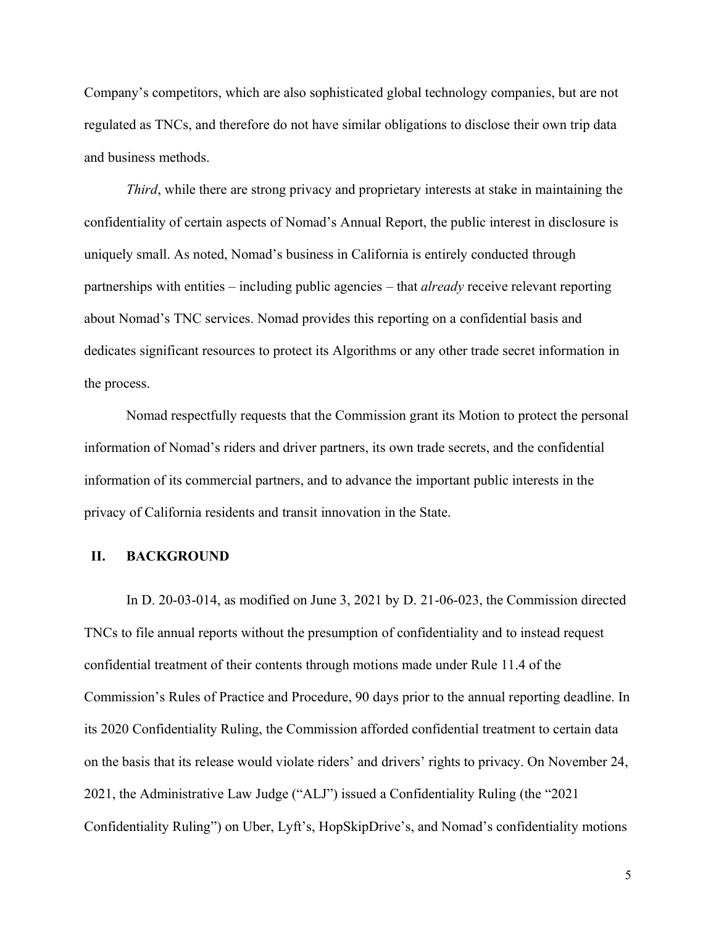Company's competitors, which are also sophisticated global technology companies, but are not regulated as TNCs, and therefore do not have similar obligations to disclose their own trip data and business methods.

*Third*, while there are strong privacy and proprietary interests at stake in maintaining the confidentiality of certain aspects of Nomad's Annual Report, the public interest in disclosure is uniquely small. As noted, Nomad's business in California is entirely conducted through partnerships with entities – including public agencies – that *already* receive relevant reporting about Nomad's TNC services. Nomad provides this reporting on a confidential basis and dedicates significant resources to protect its Algorithms or any other trade secret information in the process.

Nomad respectfully requests that the Commission grant its Motion to protect the personal information of Nomad's riders and driver partners, its own trade secrets, and the confidential information of its commercial partners, and to advance the important public interests in the privacy of California residents and transit innovation in the State.

#### **II. BACKGROUND**

In D. 20-03-014, as modified on June 3, 2021 by D. 21-06-023, the Commission directed TNCs to file annual reports without the presumption of confidentiality and to instead request confidential treatment of their contents through motions made under Rule 11.4 of the Commission's Rules of Practice and Procedure, 90 days prior to the annual reporting deadline. In its 2020 Confidentiality Ruling, the Commission afforded confidential treatment to certain data on the basis that its release would violate riders' and drivers' rights to privacy. On November 24, 2021, the Administrative Law Judge ("ALJ") issued a Confidentiality Ruling (the "2021 Confidentiality Ruling") on Uber, Lyft's, HopSkipDrive's, and Nomad's confidentiality motions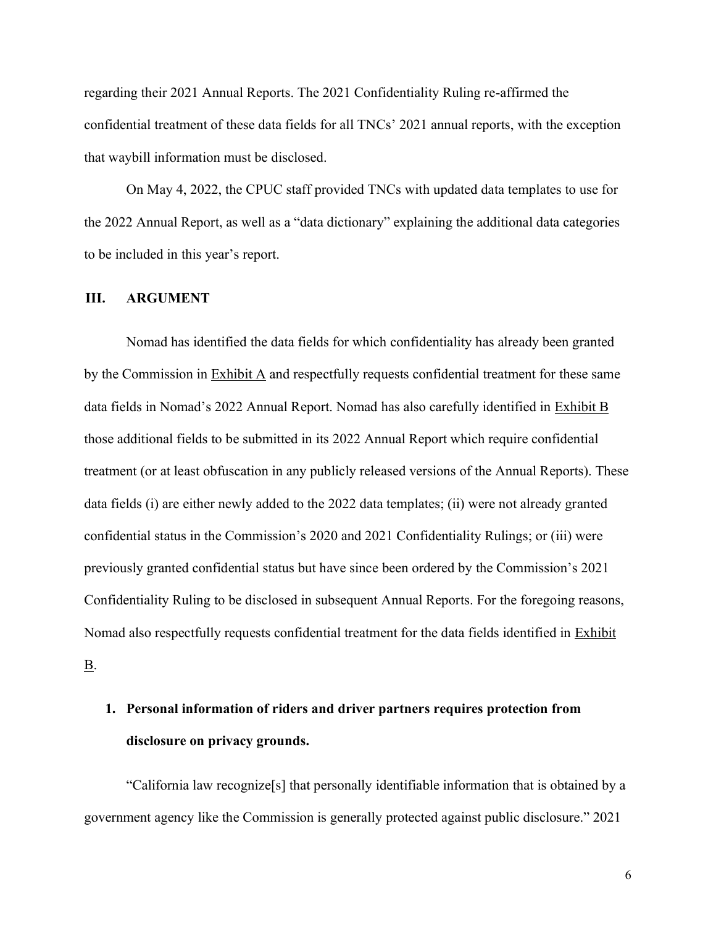regarding their 2021 Annual Reports. The 2021 Confidentiality Ruling re-affirmed the confidential treatment of these data fields for all TNCs' 2021 annual reports, with the exception that waybill information must be disclosed.

On May 4, 2022, the CPUC staff provided TNCs with updated data templates to use for the 2022 Annual Report, as well as a "data dictionary" explaining the additional data categories to be included in this year's report.

#### **III. ARGUMENT**

Nomad has identified the data fields for which confidentiality has already been granted by the Commission in Exhibit A and respectfully requests confidential treatment for these same data fields in Nomad's 2022 Annual Report. Nomad has also carefully identified in Exhibit B those additional fields to be submitted in its 2022 Annual Report which require confidential treatment (or at least obfuscation in any publicly released versions of the Annual Reports). These data fields (i) are either newly added to the 2022 data templates; (ii) were not already granted confidential status in the Commission's 2020 and 2021 Confidentiality Rulings; or (iii) were previously granted confidential status but have since been ordered by the Commission's 2021 Confidentiality Ruling to be disclosed in subsequent Annual Reports. For the foregoing reasons, Nomad also respectfully requests confidential treatment for the data fields identified in Exhibit B.

# **1. Personal information of riders and driver partners requires protection from disclosure on privacy grounds.**

"California law recognize[s] that personally identifiable information that is obtained by a government agency like the Commission is generally protected against public disclosure." 2021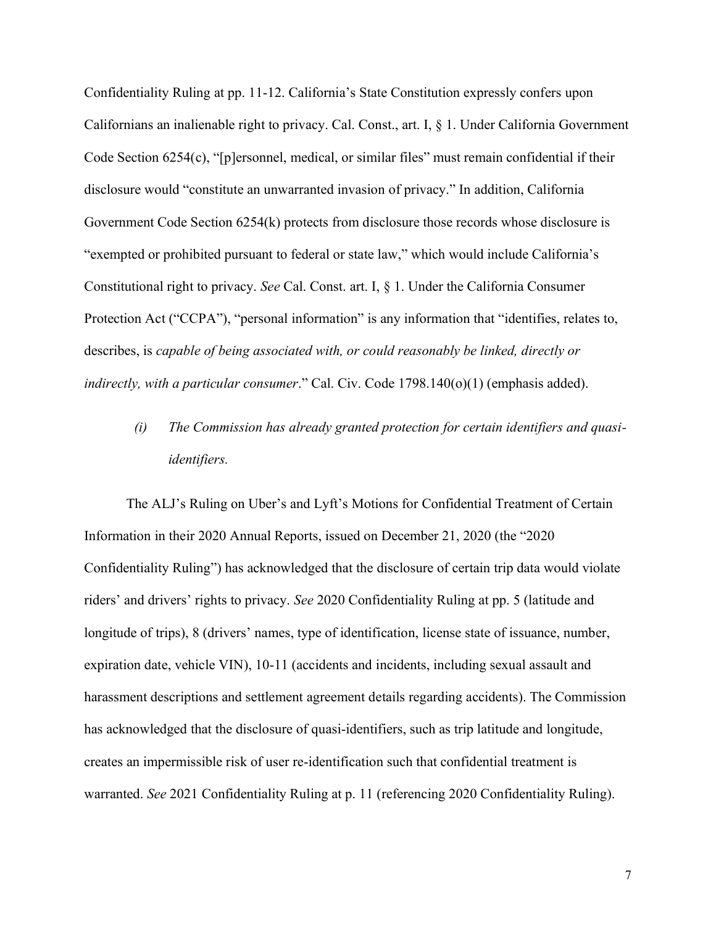Confidentiality Ruling at pp. 11-12. California's State Constitution expressly confers upon Californians an inalienable right to privacy. Cal. Const., art. I, § 1. Under California Government Code Section 6254(c), "[p]ersonnel, medical, or similar files" must remain confidential if their disclosure would "constitute an unwarranted invasion of privacy." In addition, California Government Code Section 6254(k) protects from disclosure those records whose disclosure is "exempted or prohibited pursuant to federal or state law," which would include California's Constitutional right to privacy. *See* Cal. Const. art. I, § 1. Under the California Consumer Protection Act ("CCPA"), "personal information" is any information that "identifies, relates to, describes, is *capable of being associated with, or could reasonably be linked, directly or indirectly, with a particular consumer*." Cal. Civ. Code 1798.140(o)(1) (emphasis added).

*(i) The Commission has already granted protection for certain identifiers and quasiidentifiers.* 

The ALJ's Ruling on Uber's and Lyft's Motions for Confidential Treatment of Certain Information in their 2020 Annual Reports, issued on December 21, 2020 (the "2020 Confidentiality Ruling") has acknowledged that the disclosure of certain trip data would violate riders' and drivers' rights to privacy. *See* 2020 Confidentiality Ruling at pp. 5 (latitude and longitude of trips), 8 (drivers' names, type of identification, license state of issuance, number, expiration date, vehicle VIN), 10-11 (accidents and incidents, including sexual assault and harassment descriptions and settlement agreement details regarding accidents). The Commission has acknowledged that the disclosure of quasi-identifiers, such as trip latitude and longitude, creates an impermissible risk of user re-identification such that confidential treatment is warranted. *See* 2021 Confidentiality Ruling at p. 11 (referencing 2020 Confidentiality Ruling).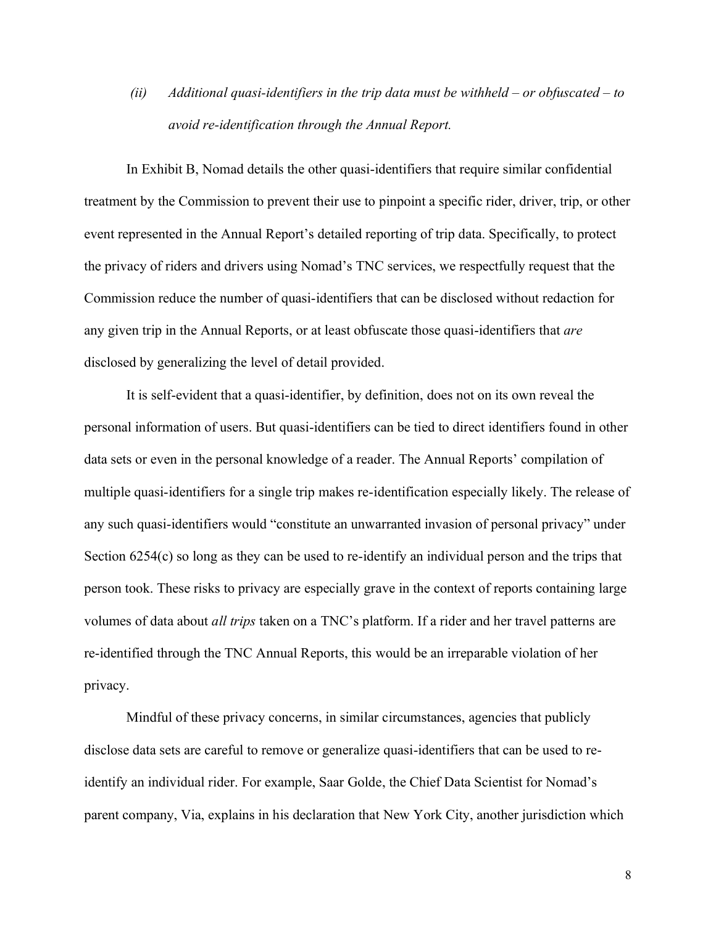*(ii) Additional quasi-identifiers in the trip data must be withheld – or obfuscated – to avoid re-identification through the Annual Report.*

In Exhibit B, Nomad details the other quasi-identifiers that require similar confidential treatment by the Commission to prevent their use to pinpoint a specific rider, driver, trip, or other event represented in the Annual Report's detailed reporting of trip data. Specifically, to protect the privacy of riders and drivers using Nomad's TNC services, we respectfully request that the Commission reduce the number of quasi-identifiers that can be disclosed without redaction for any given trip in the Annual Reports, or at least obfuscate those quasi-identifiers that *are* disclosed by generalizing the level of detail provided.

It is self-evident that a quasi-identifier, by definition, does not on its own reveal the personal information of users. But quasi-identifiers can be tied to direct identifiers found in other data sets or even in the personal knowledge of a reader. The Annual Reports' compilation of multiple quasi-identifiers for a single trip makes re-identification especially likely. The release of any such quasi-identifiers would "constitute an unwarranted invasion of personal privacy" under Section 6254(c) so long as they can be used to re-identify an individual person and the trips that person took. These risks to privacy are especially grave in the context of reports containing large volumes of data about *all trips* taken on a TNC's platform. If a rider and her travel patterns are re-identified through the TNC Annual Reports, this would be an irreparable violation of her privacy.

Mindful of these privacy concerns, in similar circumstances, agencies that publicly disclose data sets are careful to remove or generalize quasi-identifiers that can be used to reidentify an individual rider. For example, Saar Golde, the Chief Data Scientist for Nomad's parent company, Via, explains in his declaration that New York City, another jurisdiction which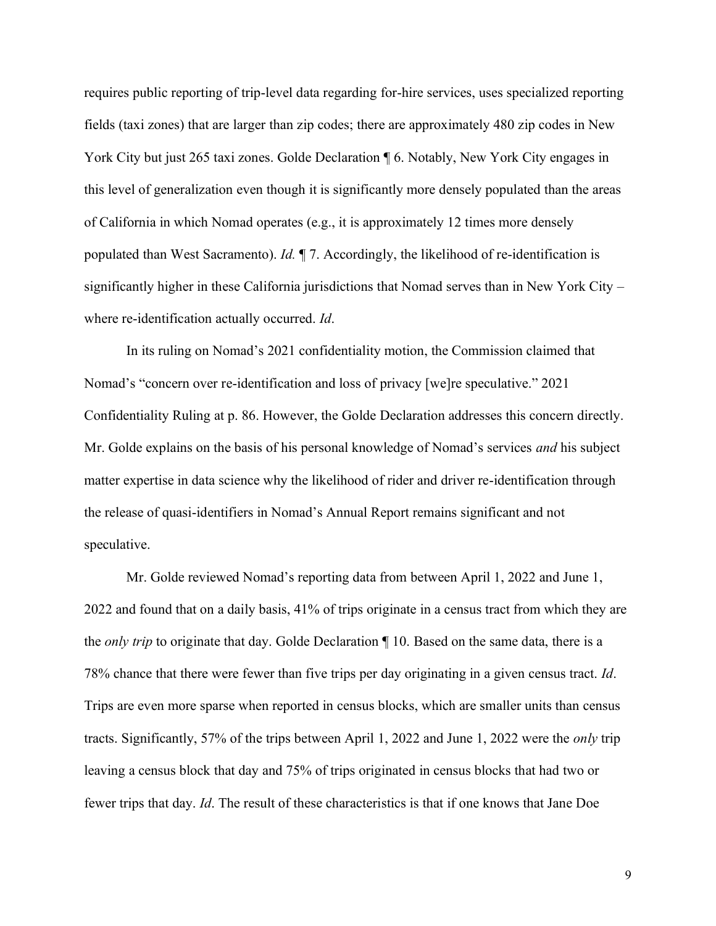requires public reporting of trip-level data regarding for-hire services, uses specialized reporting fields (taxi zones) that are larger than zip codes; there are approximately 480 zip codes in New York City but just 265 taxi zones. Golde Declaration ¶ 6. Notably, New York City engages in this level of generalization even though it is significantly more densely populated than the areas of California in which Nomad operates (e.g., it is approximately 12 times more densely populated than West Sacramento). *Id.* ¶ 7. Accordingly, the likelihood of re-identification is significantly higher in these California jurisdictions that Nomad serves than in New York City – where re-identification actually occurred. *Id*.

In its ruling on Nomad's 2021 confidentiality motion, the Commission claimed that Nomad's "concern over re-identification and loss of privacy [we]re speculative." 2021 Confidentiality Ruling at p. 86. However, the Golde Declaration addresses this concern directly. Mr. Golde explains on the basis of his personal knowledge of Nomad's services *and* his subject matter expertise in data science why the likelihood of rider and driver re-identification through the release of quasi-identifiers in Nomad's Annual Report remains significant and not speculative.

Mr. Golde reviewed Nomad's reporting data from between April 1, 2022 and June 1, 2022 and found that on a daily basis, 41% of trips originate in a census tract from which they are the *only trip* to originate that day. Golde Declaration ¶ 10. Based on the same data, there is a 78% chance that there were fewer than five trips per day originating in a given census tract. *Id*. Trips are even more sparse when reported in census blocks, which are smaller units than census tracts. Significantly, 57% of the trips between April 1, 2022 and June 1, 2022 were the *only* trip leaving a census block that day and 75% of trips originated in census blocks that had two or fewer trips that day. *Id*. The result of these characteristics is that if one knows that Jane Doe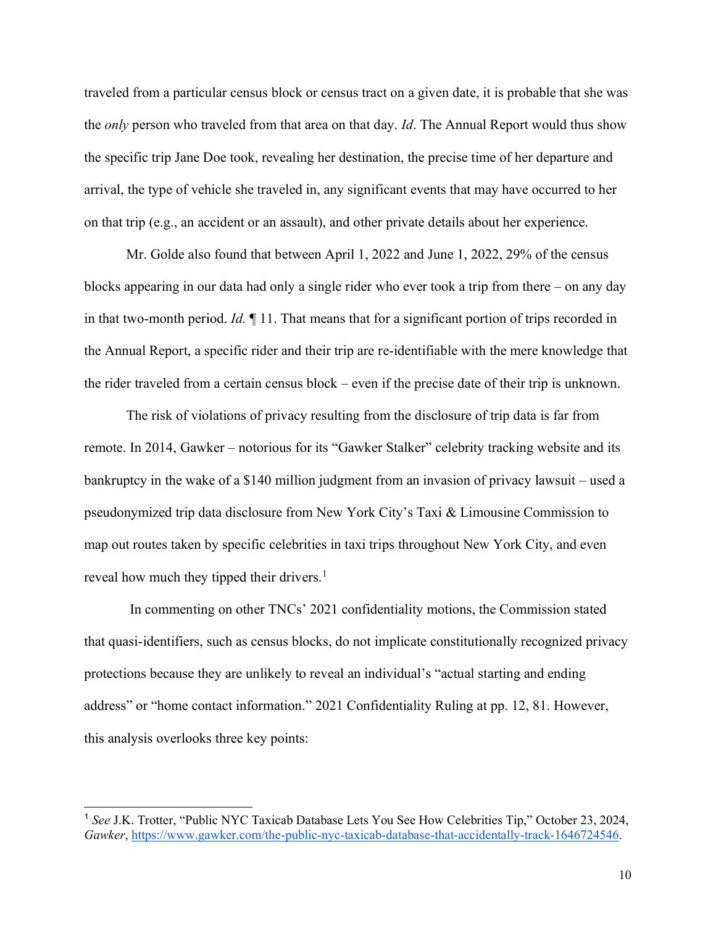traveled from a particular census block or census tract on a given date, it is probable that she was the *only* person who traveled from that area on that day. *Id*. The Annual Report would thus show the specific trip Jane Doe took, revealing her destination, the precise time of her departure and arrival, the type of vehicle she traveled in, any significant events that may have occurred to her on that trip (e.g., an accident or an assault), and other private details about her experience.

Mr. Golde also found that between April 1, 2022 and June 1, 2022, 29% of the census blocks appearing in our data had only a single rider who ever took a trip from there – on any day in that two-month period. *Id.* ¶ 11. That means that for a significant portion of trips recorded in the Annual Report, a specific rider and their trip are re-identifiable with the mere knowledge that the rider traveled from a certain census block – even if the precise date of their trip is unknown.

The risk of violations of privacy resulting from the disclosure of trip data is far from remote. In 2014, Gawker – notorious for its "Gawker Stalker" celebrity tracking website and its bankruptcy in the wake of a \$140 million judgment from an invasion of privacy lawsuit – used a pseudonymized trip data disclosure from New York City's Taxi & Limousine Commission to map out routes taken by specific celebrities in taxi trips throughout New York City, and even reveal how much they tipped their drivers.<sup>1</sup>

In commenting on other TNCs' 2021 confidentiality motions, the Commission stated that quasi-identifiers, such as census blocks, do not implicate constitutionally recognized privacy protections because they are unlikely to reveal an individual's "actual starting and ending address" or "home contact information." 2021 Confidentiality Ruling at pp. 12, 81. However, this analysis overlooks three key points:

<sup>1</sup> *See* J.K. Trotter, "Public NYC Taxicab Database Lets You See How Celebrities Tip," October 23, 2024, *Gawker*, [https://www.gawker.com/the-public-nyc-taxicab-database-that-accidentally-track-1646724546.](https://www.gawker.com/the-public-nyc-taxicab-database-that-accidentally-track-1646724546)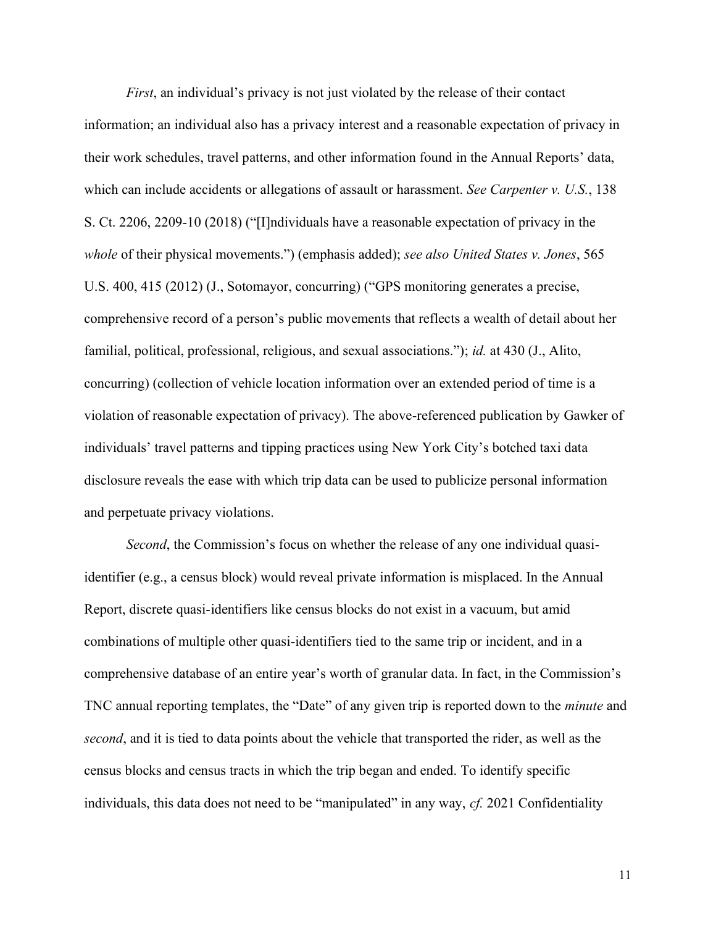*First*, an individual's privacy is not just violated by the release of their contact information; an individual also has a privacy interest and a reasonable expectation of privacy in their work schedules, travel patterns, and other information found in the Annual Reports' data, which can include accidents or allegations of assault or harassment. *See Carpenter v. U.S.*, 138 S. Ct. 2206, 2209-10 (2018) ("[I]ndividuals have a reasonable expectation of privacy in the *whole* of their physical movements.") (emphasis added); *see also United States v. Jones*, 565 U.S. 400, 415 (2012) (J., Sotomayor, concurring) ("GPS monitoring generates a precise, comprehensive record of a person's public movements that reflects a wealth of detail about her familial, political, professional, religious, and sexual associations."); *id.* at 430 (J., Alito, concurring) (collection of vehicle location information over an extended period of time is a violation of reasonable expectation of privacy). The above-referenced publication by Gawker of individuals' travel patterns and tipping practices using New York City's botched taxi data disclosure reveals the ease with which trip data can be used to publicize personal information and perpetuate privacy violations.

*Second*, the Commission's focus on whether the release of any one individual quasiidentifier (e.g., a census block) would reveal private information is misplaced. In the Annual Report, discrete quasi-identifiers like census blocks do not exist in a vacuum, but amid combinations of multiple other quasi-identifiers tied to the same trip or incident, and in a comprehensive database of an entire year's worth of granular data. In fact, in the Commission's TNC annual reporting templates, the "Date" of any given trip is reported down to the *minute* and *second*, and it is tied to data points about the vehicle that transported the rider, as well as the census blocks and census tracts in which the trip began and ended. To identify specific individuals, this data does not need to be "manipulated" in any way, *cf.* 2021 Confidentiality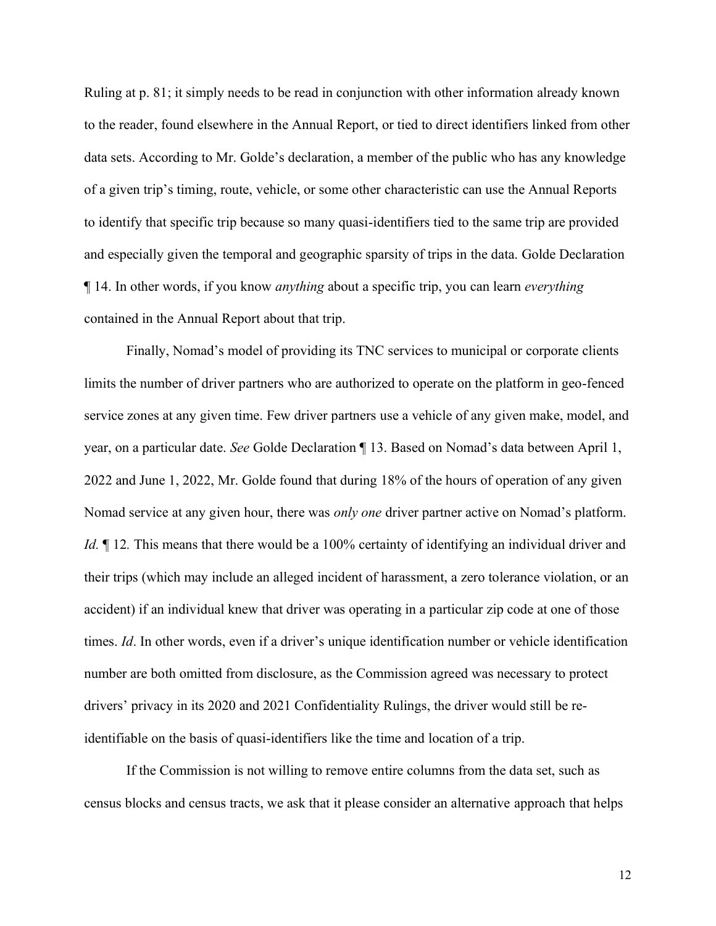Ruling at p. 81; it simply needs to be read in conjunction with other information already known to the reader, found elsewhere in the Annual Report, or tied to direct identifiers linked from other data sets. According to Mr. Golde's declaration, a member of the public who has any knowledge of a given trip's timing, route, vehicle, or some other characteristic can use the Annual Reports to identify that specific trip because so many quasi-identifiers tied to the same trip are provided and especially given the temporal and geographic sparsity of trips in the data. Golde Declaration ¶ 14. In other words, if you know *anything* about a specific trip, you can learn *everything* contained in the Annual Report about that trip.

Finally, Nomad's model of providing its TNC services to municipal or corporate clients limits the number of driver partners who are authorized to operate on the platform in geo-fenced service zones at any given time. Few driver partners use a vehicle of any given make, model, and year, on a particular date. *See* Golde Declaration ¶ 13. Based on Nomad's data between April 1, 2022 and June 1, 2022, Mr. Golde found that during 18% of the hours of operation of any given Nomad service at any given hour, there was *only one* driver partner active on Nomad's platform. *Id.*  $\parallel$  12. This means that there would be a 100% certainty of identifying an individual driver and their trips (which may include an alleged incident of harassment, a zero tolerance violation, or an accident) if an individual knew that driver was operating in a particular zip code at one of those times. *Id*. In other words, even if a driver's unique identification number or vehicle identification number are both omitted from disclosure, as the Commission agreed was necessary to protect drivers' privacy in its 2020 and 2021 Confidentiality Rulings, the driver would still be reidentifiable on the basis of quasi-identifiers like the time and location of a trip.

If the Commission is not willing to remove entire columns from the data set, such as census blocks and census tracts, we ask that it please consider an alternative approach that helps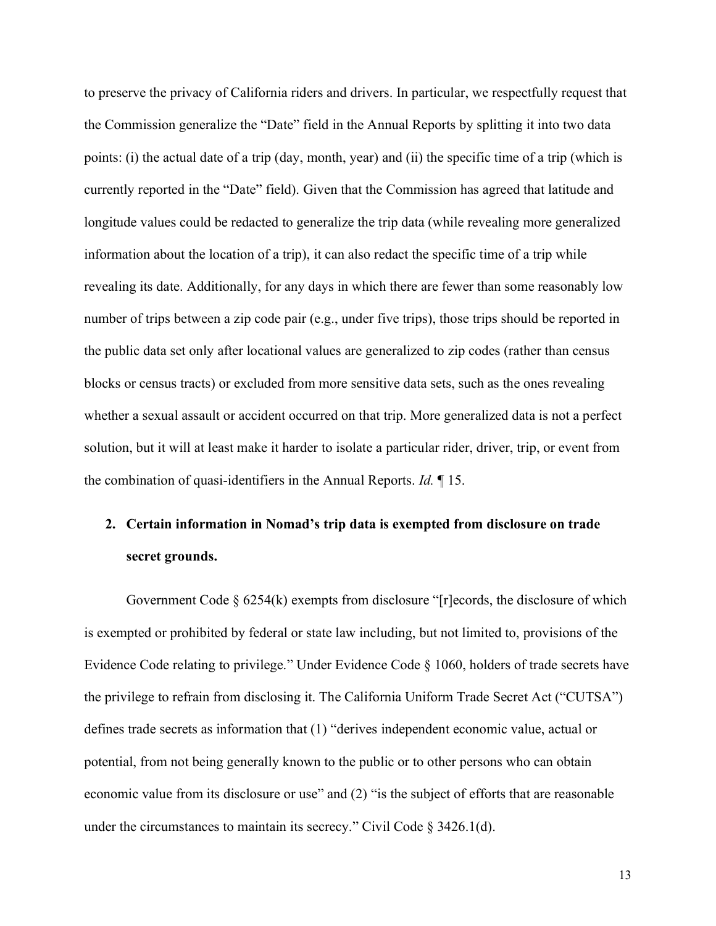to preserve the privacy of California riders and drivers. In particular, we respectfully request that the Commission generalize the "Date" field in the Annual Reports by splitting it into two data points: (i) the actual date of a trip (day, month, year) and (ii) the specific time of a trip (which is currently reported in the "Date" field). Given that the Commission has agreed that latitude and longitude values could be redacted to generalize the trip data (while revealing more generalized information about the location of a trip), it can also redact the specific time of a trip while revealing its date. Additionally, for any days in which there are fewer than some reasonably low number of trips between a zip code pair (e.g., under five trips), those trips should be reported in the public data set only after locational values are generalized to zip codes (rather than census blocks or census tracts) or excluded from more sensitive data sets, such as the ones revealing whether a sexual assault or accident occurred on that trip. More generalized data is not a perfect solution, but it will at least make it harder to isolate a particular rider, driver, trip, or event from the combination of quasi-identifiers in the Annual Reports. *Id.* ¶ 15.

# **2. Certain information in Nomad's trip data is exempted from disclosure on trade secret grounds.**

Government Code § 6254(k) exempts from disclosure "[r]ecords, the disclosure of which is exempted or prohibited by federal or state law including, but not limited to, provisions of the Evidence Code relating to privilege." Under Evidence Code § 1060, holders of trade secrets have the privilege to refrain from disclosing it. The California Uniform Trade Secret Act ("CUTSA") defines trade secrets as information that (1) "derives independent economic value, actual or potential, from not being generally known to the public or to other persons who can obtain economic value from its disclosure or use" and (2) "is the subject of efforts that are reasonable under the circumstances to maintain its secrecy." Civil Code § 3426.1(d).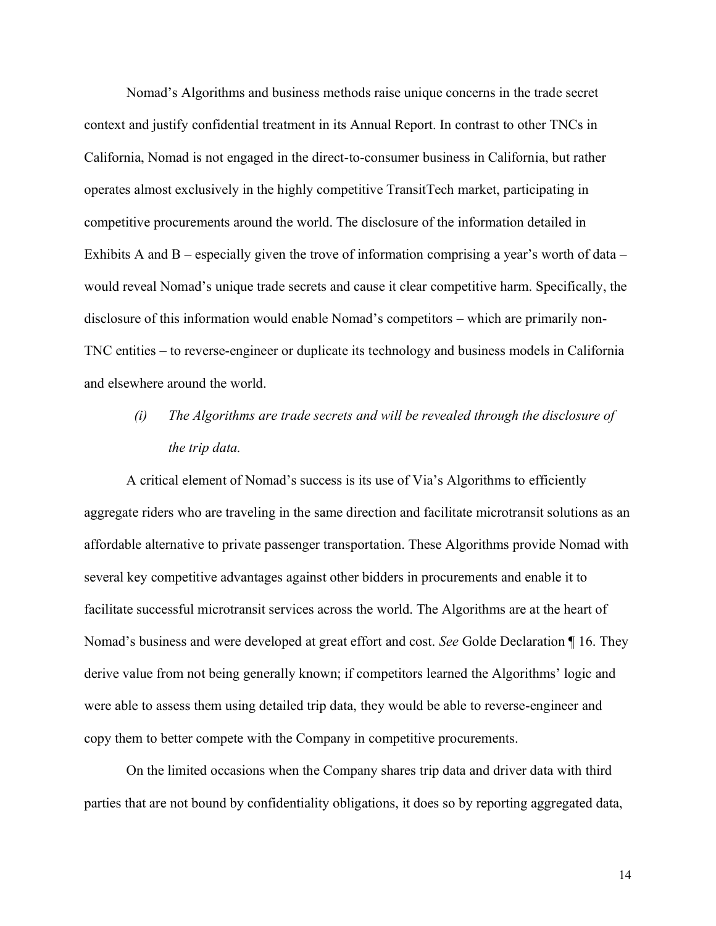Nomad's Algorithms and business methods raise unique concerns in the trade secret context and justify confidential treatment in its Annual Report. In contrast to other TNCs in California, Nomad is not engaged in the direct-to-consumer business in California, but rather operates almost exclusively in the highly competitive TransitTech market, participating in competitive procurements around the world. The disclosure of the information detailed in Exhibits A and B – especially given the trove of information comprising a year's worth of data – would reveal Nomad's unique trade secrets and cause it clear competitive harm. Specifically, the disclosure of this information would enable Nomad's competitors – which are primarily non-TNC entities – to reverse-engineer or duplicate its technology and business models in California and elsewhere around the world.

# *(i) The Algorithms are trade secrets and will be revealed through the disclosure of the trip data.*

A critical element of Nomad's success is its use of Via's Algorithms to efficiently aggregate riders who are traveling in the same direction and facilitate microtransit solutions as an affordable alternative to private passenger transportation. These Algorithms provide Nomad with several key competitive advantages against other bidders in procurements and enable it to facilitate successful microtransit services across the world. The Algorithms are at the heart of Nomad's business and were developed at great effort and cost. *See* Golde Declaration ¶ 16. They derive value from not being generally known; if competitors learned the Algorithms' logic and were able to assess them using detailed trip data, they would be able to reverse-engineer and copy them to better compete with the Company in competitive procurements.

On the limited occasions when the Company shares trip data and driver data with third parties that are not bound by confidentiality obligations, it does so by reporting aggregated data,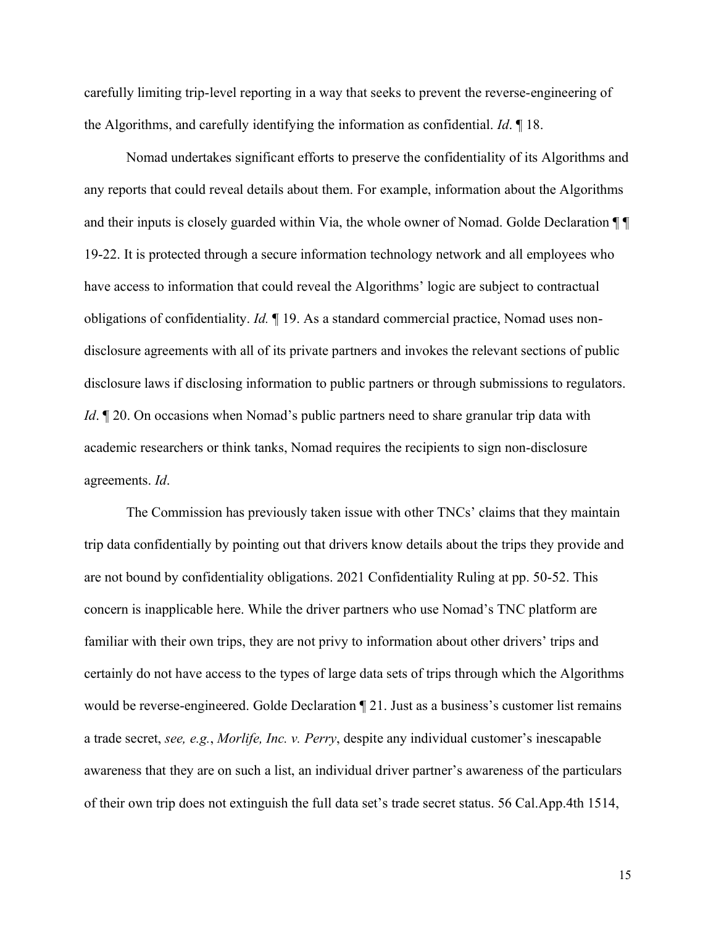carefully limiting trip-level reporting in a way that seeks to prevent the reverse-engineering of the Algorithms, and carefully identifying the information as confidential. *Id*. ¶ 18.

Nomad undertakes significant efforts to preserve the confidentiality of its Algorithms and any reports that could reveal details about them. For example, information about the Algorithms and their inputs is closely guarded within Via, the whole owner of Nomad. Golde Declaration  $\P\P$ 19-22. It is protected through a secure information technology network and all employees who have access to information that could reveal the Algorithms' logic are subject to contractual obligations of confidentiality. *Id.* ¶ 19. As a standard commercial practice, Nomad uses nondisclosure agreements with all of its private partners and invokes the relevant sections of public disclosure laws if disclosing information to public partners or through submissions to regulators. *Id*.  $\mathbb{I}$  20. On occasions when Nomad's public partners need to share granular trip data with academic researchers or think tanks, Nomad requires the recipients to sign non-disclosure agreements. *Id*.

The Commission has previously taken issue with other TNCs' claims that they maintain trip data confidentially by pointing out that drivers know details about the trips they provide and are not bound by confidentiality obligations. 2021 Confidentiality Ruling at pp. 50-52. This concern is inapplicable here. While the driver partners who use Nomad's TNC platform are familiar with their own trips, they are not privy to information about other drivers' trips and certainly do not have access to the types of large data sets of trips through which the Algorithms would be reverse-engineered. Golde Declaration ¶ 21. Just as a business's customer list remains a trade secret, *see, e.g.*, *Morlife, Inc. v. Perry*, despite any individual customer's inescapable awareness that they are on such a list, an individual driver partner's awareness of the particulars of their own trip does not extinguish the full data set's trade secret status. 56 Cal.App.4th 1514,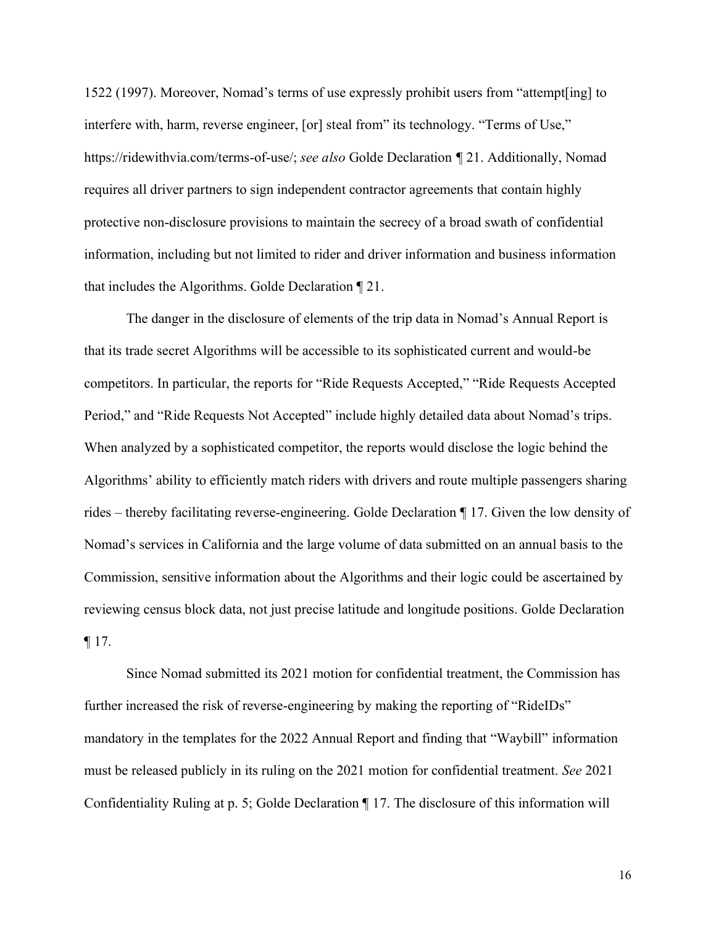1522 (1997). Moreover, Nomad's terms of use expressly prohibit users from "attempt[ing] to interfere with, harm, reverse engineer, [or] steal from" its technology. "Terms of Use," https://ridewithvia.com/terms-of-use/; *see also* Golde Declaration *¶* 21. Additionally, Nomad requires all driver partners to sign independent contractor agreements that contain highly protective non-disclosure provisions to maintain the secrecy of a broad swath of confidential information, including but not limited to rider and driver information and business information that includes the Algorithms. Golde Declaration ¶ 21.

The danger in the disclosure of elements of the trip data in Nomad's Annual Report is that its trade secret Algorithms will be accessible to its sophisticated current and would-be competitors. In particular, the reports for "Ride Requests Accepted," "Ride Requests Accepted Period," and "Ride Requests Not Accepted" include highly detailed data about Nomad's trips. When analyzed by a sophisticated competitor, the reports would disclose the logic behind the Algorithms' ability to efficiently match riders with drivers and route multiple passengers sharing rides – thereby facilitating reverse-engineering. Golde Declaration ¶ 17. Given the low density of Nomad's services in California and the large volume of data submitted on an annual basis to the Commission, sensitive information about the Algorithms and their logic could be ascertained by reviewing census block data, not just precise latitude and longitude positions. Golde Declaration  $\P$  17.

Since Nomad submitted its 2021 motion for confidential treatment, the Commission has further increased the risk of reverse-engineering by making the reporting of "RideIDs" mandatory in the templates for the 2022 Annual Report and finding that "Waybill" information must be released publicly in its ruling on the 2021 motion for confidential treatment. *See* 2021 Confidentiality Ruling at p. 5; Golde Declaration ¶ 17. The disclosure of this information will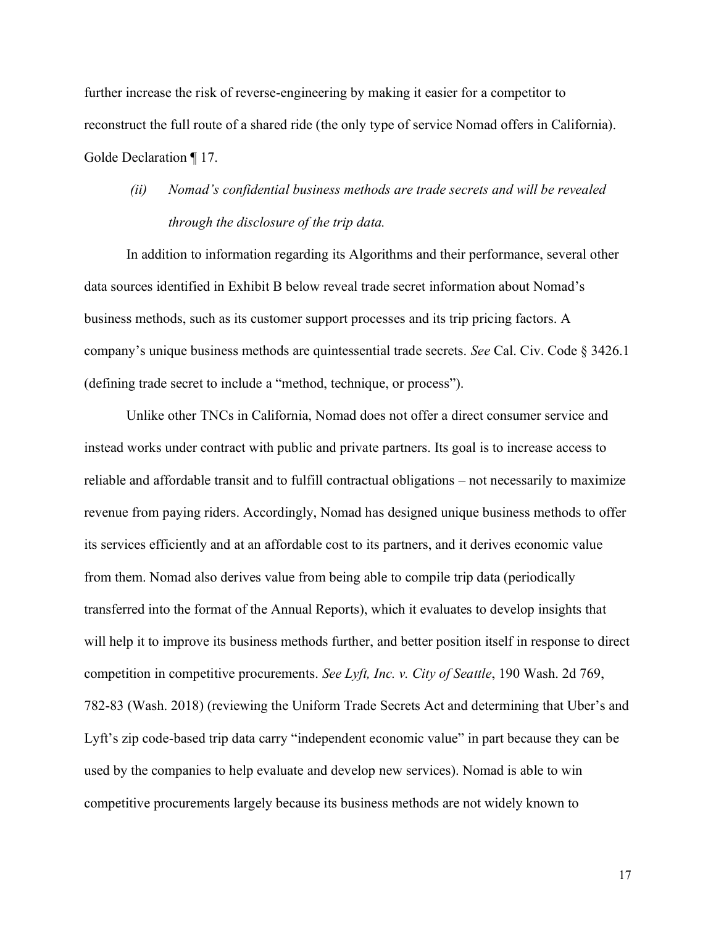further increase the risk of reverse-engineering by making it easier for a competitor to reconstruct the full route of a shared ride (the only type of service Nomad offers in California). Golde Declaration ¶ 17.

*(ii) Nomad's confidential business methods are trade secrets and will be revealed through the disclosure of the trip data.*

In addition to information regarding its Algorithms and their performance, several other data sources identified in Exhibit B below reveal trade secret information about Nomad's business methods, such as its customer support processes and its trip pricing factors. A company's unique business methods are quintessential trade secrets. *See* Cal. Civ. Code § 3426.1 (defining trade secret to include a "method, technique, or process").

Unlike other TNCs in California, Nomad does not offer a direct consumer service and instead works under contract with public and private partners. Its goal is to increase access to reliable and affordable transit and to fulfill contractual obligations – not necessarily to maximize revenue from paying riders. Accordingly, Nomad has designed unique business methods to offer its services efficiently and at an affordable cost to its partners, and it derives economic value from them. Nomad also derives value from being able to compile trip data (periodically transferred into the format of the Annual Reports), which it evaluates to develop insights that will help it to improve its business methods further, and better position itself in response to direct competition in competitive procurements. *See Lyft, Inc. v. City of Seattle*, 190 Wash. 2d 769, 782-83 (Wash. 2018) (reviewing the Uniform Trade Secrets Act and determining that Uber's and Lyft's zip code-based trip data carry "independent economic value" in part because they can be used by the companies to help evaluate and develop new services). Nomad is able to win competitive procurements largely because its business methods are not widely known to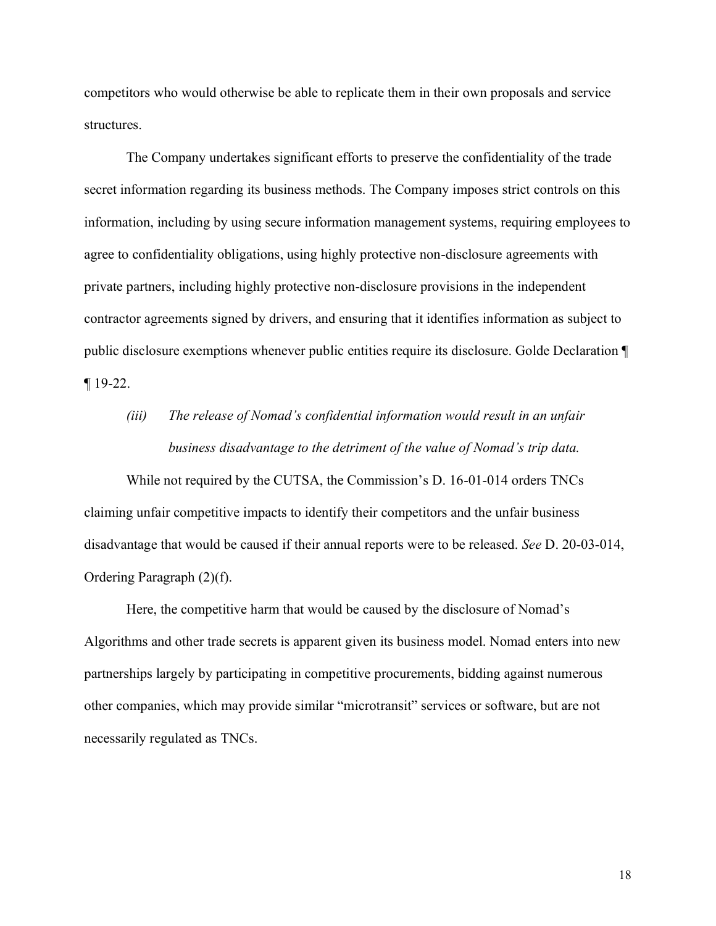competitors who would otherwise be able to replicate them in their own proposals and service structures.

The Company undertakes significant efforts to preserve the confidentiality of the trade secret information regarding its business methods. The Company imposes strict controls on this information, including by using secure information management systems, requiring employees to agree to confidentiality obligations, using highly protective non-disclosure agreements with private partners, including highly protective non-disclosure provisions in the independent contractor agreements signed by drivers, and ensuring that it identifies information as subject to public disclosure exemptions whenever public entities require its disclosure. Golde Declaration ¶ ¶ 19-22.

# *(iii) The release of Nomad's confidential information would result in an unfair business disadvantage to the detriment of the value of Nomad's trip data.*

While not required by the CUTSA, the Commission's D. 16-01-014 orders TNCs claiming unfair competitive impacts to identify their competitors and the unfair business disadvantage that would be caused if their annual reports were to be released. *See* D. 20-03-014, Ordering Paragraph (2)(f).

Here, the competitive harm that would be caused by the disclosure of Nomad's Algorithms and other trade secrets is apparent given its business model. Nomad enters into new partnerships largely by participating in competitive procurements, bidding against numerous other companies, which may provide similar "microtransit" services or software, but are not necessarily regulated as TNCs.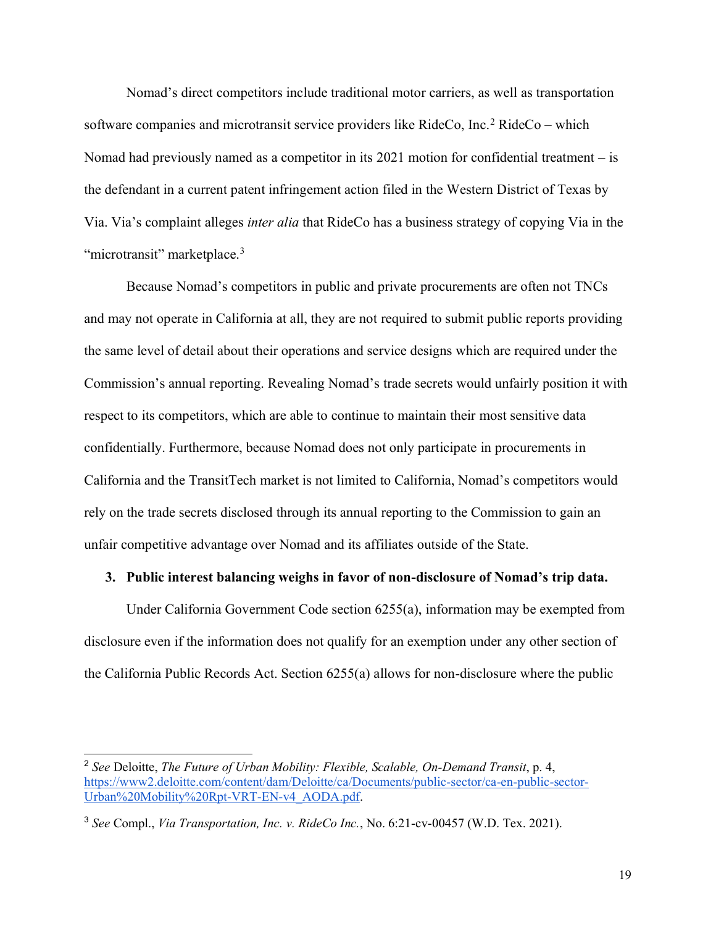Nomad's direct competitors include traditional motor carriers, as well as transportation software companies and microtransit service providers like RideCo, Inc.<sup>2</sup> RideCo – which Nomad had previously named as a competitor in its 2021 motion for confidential treatment – is the defendant in a current patent infringement action filed in the Western District of Texas by Via. Via's complaint alleges *inter alia* that RideCo has a business strategy of copying Via in the "microtransit" marketplace.<sup>3</sup>

Because Nomad's competitors in public and private procurements are often not TNCs and may not operate in California at all, they are not required to submit public reports providing the same level of detail about their operations and service designs which are required under the Commission's annual reporting. Revealing Nomad's trade secrets would unfairly position it with respect to its competitors, which are able to continue to maintain their most sensitive data confidentially. Furthermore, because Nomad does not only participate in procurements in California and the TransitTech market is not limited to California, Nomad's competitors would rely on the trade secrets disclosed through its annual reporting to the Commission to gain an unfair competitive advantage over Nomad and its affiliates outside of the State.

#### **3. Public interest balancing weighs in favor of non-disclosure of Nomad's trip data.**

Under California Government Code section 6255(a), information may be exempted from disclosure even if the information does not qualify for an exemption under any other section of the California Public Records Act. Section 6255(a) allows for non-disclosure where the public

<sup>2</sup> *See* Deloitte, *The Future of Urban Mobility: Flexible, Scalable, On-Demand Transit*, p. 4, [https://www2.deloitte.com/content/dam/Deloitte/ca/Documents/public-sector/ca-en-public-sector-](https://www2.deloitte.com/content/dam/Deloitte/ca/Documents/public-sector/ca-en-public-sector-Urban%20Mobility%20Rpt-VRT-EN-v4_AODA.pdf)[Urban%20Mobility%20Rpt-VRT-EN-v4\\_AODA.pdf.](https://www2.deloitte.com/content/dam/Deloitte/ca/Documents/public-sector/ca-en-public-sector-Urban%20Mobility%20Rpt-VRT-EN-v4_AODA.pdf)

<sup>3</sup> *See* Compl., *Via Transportation, Inc. v. RideCo Inc.*, No. 6:21-cv-00457 (W.D. Tex. 2021).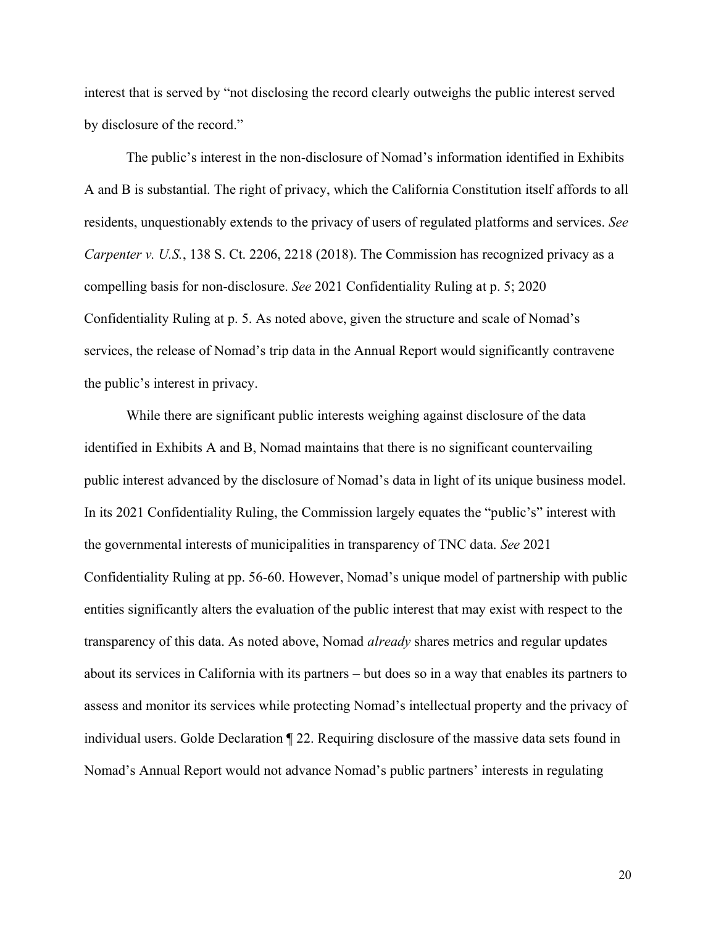interest that is served by "not disclosing the record clearly outweighs the public interest served by disclosure of the record."

The public's interest in the non-disclosure of Nomad's information identified in Exhibits A and B is substantial. The right of privacy, which the California Constitution itself affords to all residents, unquestionably extends to the privacy of users of regulated platforms and services. *See Carpenter v. U.S.*, 138 S. Ct. 2206, 2218 (2018). The Commission has recognized privacy as a compelling basis for non-disclosure. *See* 2021 Confidentiality Ruling at p. 5; 2020 Confidentiality Ruling at p. 5. As noted above, given the structure and scale of Nomad's services, the release of Nomad's trip data in the Annual Report would significantly contravene the public's interest in privacy.

While there are significant public interests weighing against disclosure of the data identified in Exhibits A and B, Nomad maintains that there is no significant countervailing public interest advanced by the disclosure of Nomad's data in light of its unique business model. In its 2021 Confidentiality Ruling, the Commission largely equates the "public's" interest with the governmental interests of municipalities in transparency of TNC data. *See* 2021 Confidentiality Ruling at pp. 56-60. However, Nomad's unique model of partnership with public entities significantly alters the evaluation of the public interest that may exist with respect to the transparency of this data. As noted above, Nomad *already* shares metrics and regular updates about its services in California with its partners – but does so in a way that enables its partners to assess and monitor its services while protecting Nomad's intellectual property and the privacy of individual users. Golde Declaration ¶ 22. Requiring disclosure of the massive data sets found in Nomad's Annual Report would not advance Nomad's public partners' interests in regulating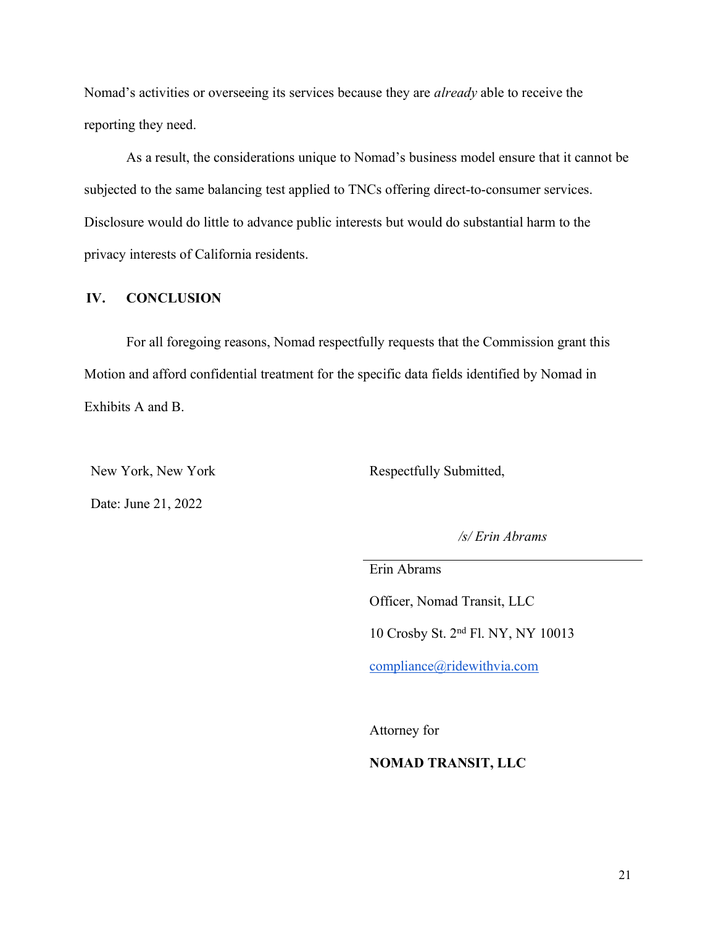Nomad's activities or overseeing its services because they are *already* able to receive the reporting they need.

As a result, the considerations unique to Nomad's business model ensure that it cannot be subjected to the same balancing test applied to TNCs offering direct-to-consumer services. Disclosure would do little to advance public interests but would do substantial harm to the privacy interests of California residents.

#### **IV. CONCLUSION**

For all foregoing reasons, Nomad respectfully requests that the Commission grant this Motion and afford confidential treatment for the specific data fields identified by Nomad in Exhibits A and B.

New York, New York

Date: June 21, 2022

Respectfully Submitted,

*/s/ Erin Abrams*

Erin Abrams

Officer, Nomad Transit, LLC

10 Crosby St. 2nd Fl. NY, NY 10013

[compliance@ridewithvia.com](mailto:compliance@ridewithvia.com)

Attorney for

#### **NOMAD TRANSIT, LLC**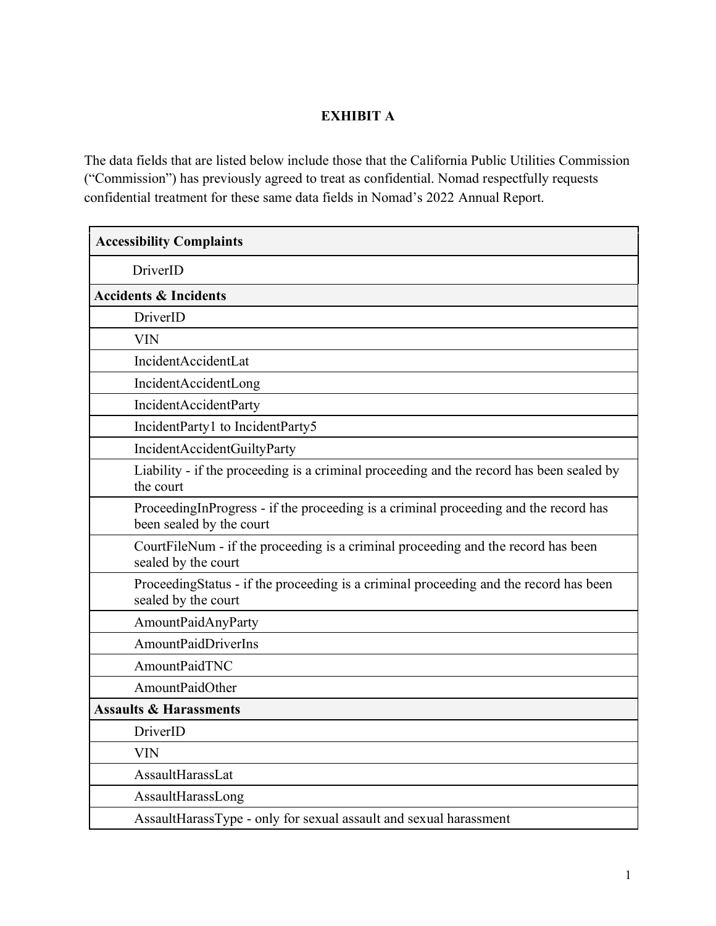### **EXHIBIT A**

The data fields that are listed below include those that the California Public Utilities Commission ("Commission") has previously agreed to treat as confidential. Nomad respectfully requests confidential treatment for these same data fields in Nomad's 2022 Annual Report.

| <b>Accessibility Complaints</b>                                                                                  |
|------------------------------------------------------------------------------------------------------------------|
| DriverID                                                                                                         |
| <b>Accidents &amp; Incidents</b>                                                                                 |
| DriverID                                                                                                         |
| <b>VIN</b>                                                                                                       |
| IncidentAccidentLat                                                                                              |
| IncidentAccidentLong                                                                                             |
| IncidentAccidentParty                                                                                            |
| IncidentParty1 to IncidentParty5                                                                                 |
| IncidentAccidentGuiltyParty                                                                                      |
| Liability - if the proceeding is a criminal proceeding and the record has been sealed by<br>the court            |
| ProceedingInProgress - if the proceeding is a criminal proceeding and the record has<br>been sealed by the court |
| CourtFileNum - if the proceeding is a criminal proceeding and the record has been<br>sealed by the court         |
| ProceedingStatus - if the proceeding is a criminal proceeding and the record has been<br>sealed by the court     |
| AmountPaidAnyParty                                                                                               |
| <b>AmountPaidDriverIns</b>                                                                                       |
| AmountPaidTNC                                                                                                    |
| AmountPaidOther                                                                                                  |
| <b>Assaults &amp; Harassments</b>                                                                                |
| DriverID                                                                                                         |
| <b>VIN</b>                                                                                                       |
| AssaultHarassLat                                                                                                 |
| AssaultHarassLong                                                                                                |
| AssaultHarassType - only for sexual assault and sexual harassment                                                |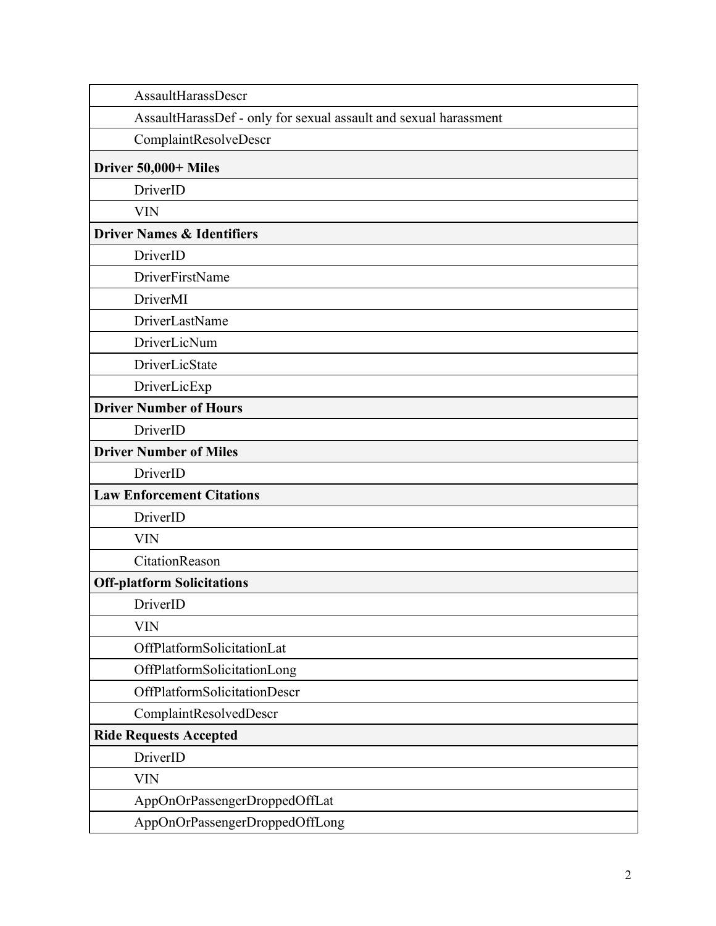| AssaultHarassDescr                                               |  |
|------------------------------------------------------------------|--|
| AssaultHarassDef - only for sexual assault and sexual harassment |  |
| ComplaintResolveDescr                                            |  |
| Driver 50,000+ Miles                                             |  |
| DriverID                                                         |  |
| <b>VIN</b>                                                       |  |
| <b>Driver Names &amp; Identifiers</b>                            |  |
| DriverID                                                         |  |
| DriverFirstName                                                  |  |
| DriverMI                                                         |  |
| DriverLastName                                                   |  |
| DriverLicNum                                                     |  |
| DriverLicState                                                   |  |
| DriverLicExp                                                     |  |
| <b>Driver Number of Hours</b>                                    |  |
| DriverID                                                         |  |
| <b>Driver Number of Miles</b>                                    |  |
| DriverID                                                         |  |
| <b>Law Enforcement Citations</b>                                 |  |
| DriverID                                                         |  |
| <b>VIN</b>                                                       |  |
| CitationReason                                                   |  |
| <b>Off-platform Solicitations</b>                                |  |
| DriverID                                                         |  |
| <b>VIN</b>                                                       |  |
| OffPlatformSolicitationLat                                       |  |
| OffPlatformSolicitationLong                                      |  |
| OffPlatformSolicitationDescr                                     |  |
| ComplaintResolvedDescr                                           |  |
| <b>Ride Requests Accepted</b>                                    |  |
| DriverID                                                         |  |
| <b>VIN</b>                                                       |  |
| AppOnOrPassengerDroppedOffLat                                    |  |
| AppOnOrPassengerDroppedOffLong                                   |  |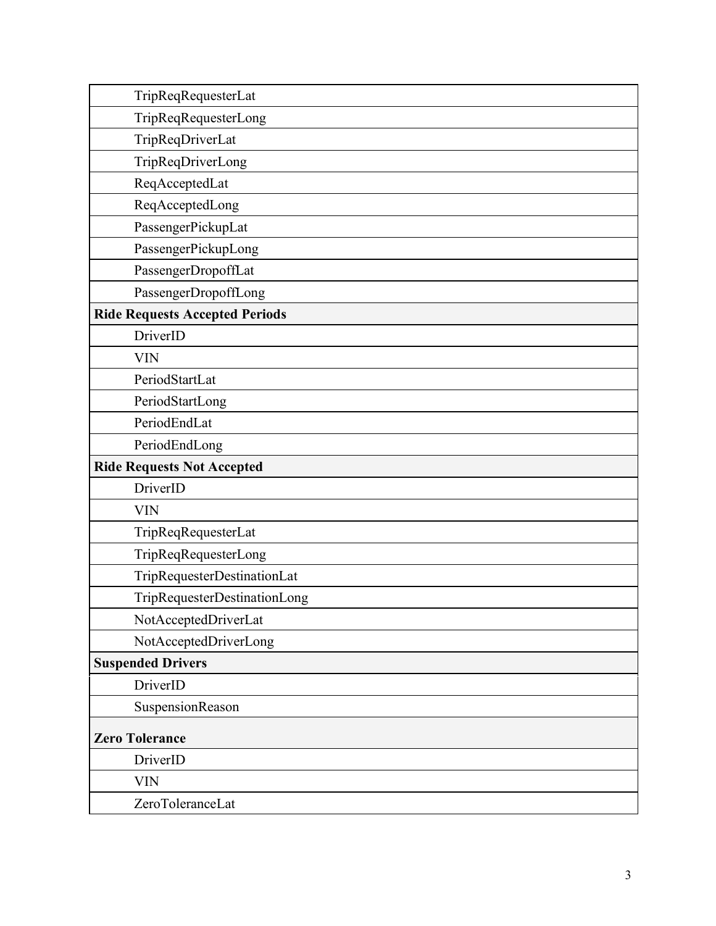| TripReqRequesterLat                   |
|---------------------------------------|
| TripReqRequesterLong                  |
| TripReqDriverLat                      |
| TripReqDriverLong                     |
| ReqAcceptedLat                        |
| ReqAcceptedLong                       |
| PassengerPickupLat                    |
| PassengerPickupLong                   |
| PassengerDropoffLat                   |
| PassengerDropoffLong                  |
| <b>Ride Requests Accepted Periods</b> |
| DriverID                              |
| <b>VIN</b>                            |
| PeriodStartLat                        |
| PeriodStartLong                       |
| PeriodEndLat                          |
| PeriodEndLong                         |
| <b>Ride Requests Not Accepted</b>     |
| DriverID                              |
| <b>VIN</b>                            |
| TripReqRequesterLat                   |
| TripReqRequesterLong                  |
| TripRequesterDestinationLat           |
| TripRequesterDestinationLong          |
| NotAcceptedDriverLat                  |
| NotAcceptedDriverLong                 |
| <b>Suspended Drivers</b>              |
| DriverID                              |
| SuspensionReason                      |
| <b>Zero Tolerance</b>                 |
| DriverID                              |
| <b>VIN</b>                            |
| ZeroToleranceLat                      |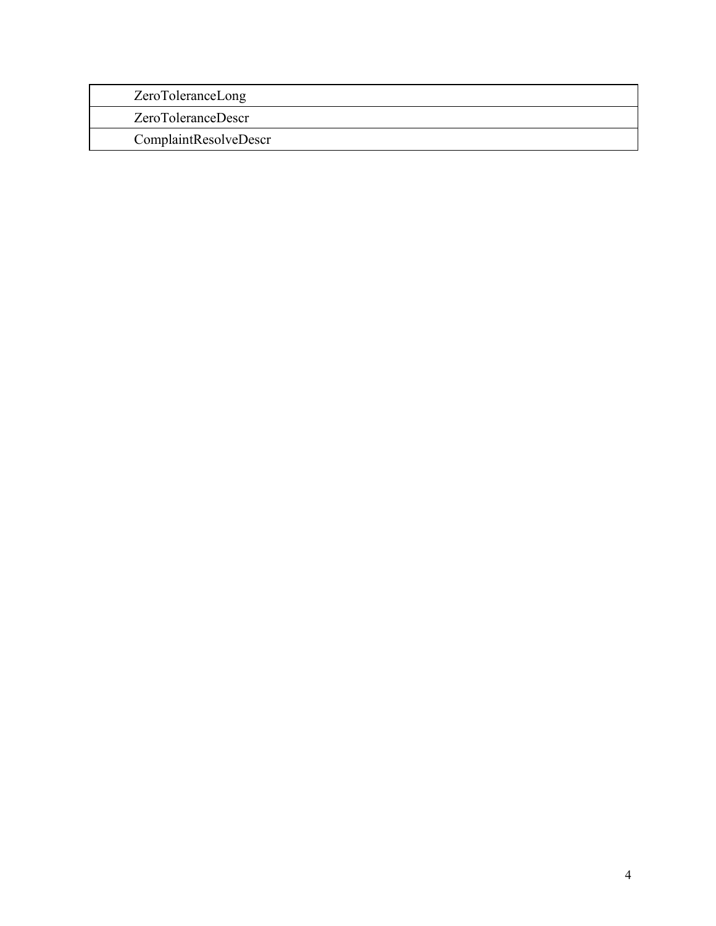| ZeroToleranceLong     |  |
|-----------------------|--|
| ZeroToleranceDescr    |  |
| ComplaintResolveDescr |  |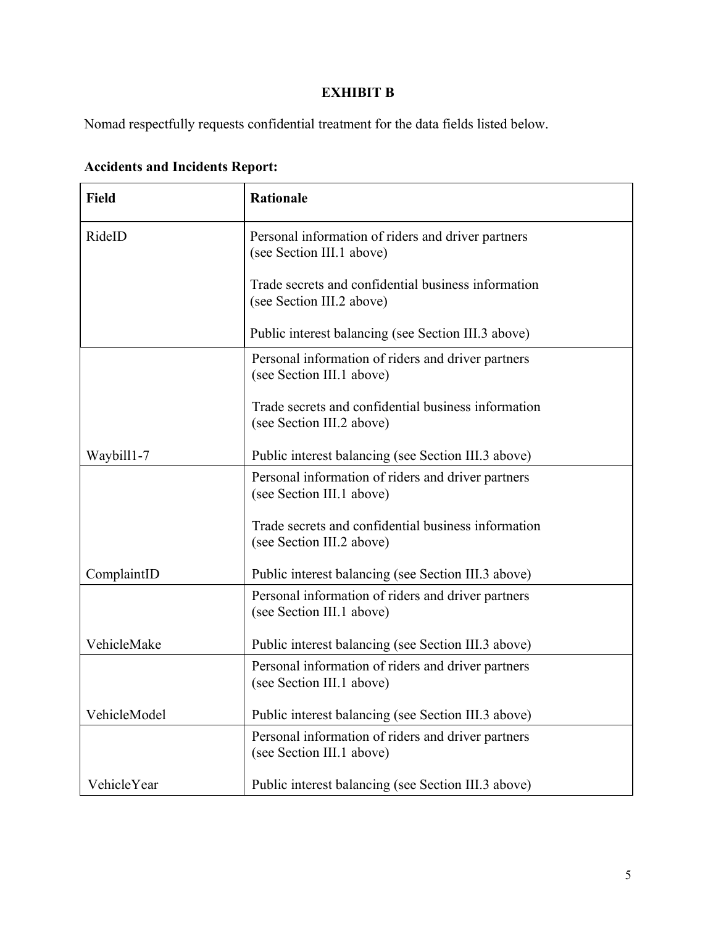### **EXHIBIT B**

Nomad respectfully requests confidential treatment for the data fields listed below.

| <b>Field</b> | <b>Rationale</b>                                                                 |
|--------------|----------------------------------------------------------------------------------|
| RideID       | Personal information of riders and driver partners<br>(see Section III.1 above)  |
|              | Trade secrets and confidential business information<br>(see Section III.2 above) |
|              | Public interest balancing (see Section III.3 above)                              |
|              | Personal information of riders and driver partners<br>(see Section III.1 above)  |
|              | Trade secrets and confidential business information<br>(see Section III.2 above) |
| Waybill1-7   | Public interest balancing (see Section III.3 above)                              |
|              | Personal information of riders and driver partners<br>(see Section III.1 above)  |
|              | Trade secrets and confidential business information<br>(see Section III.2 above) |
| ComplaintID  | Public interest balancing (see Section III.3 above)                              |
|              | Personal information of riders and driver partners<br>(see Section III.1 above)  |
| VehicleMake  | Public interest balancing (see Section III.3 above)                              |
|              | Personal information of riders and driver partners<br>(see Section III.1 above)  |
| VehicleModel | Public interest balancing (see Section III.3 above)                              |
|              | Personal information of riders and driver partners<br>(see Section III.1 above)  |
| VehicleYear  | Public interest balancing (see Section III.3 above)                              |

### **Accidents and Incidents Report:**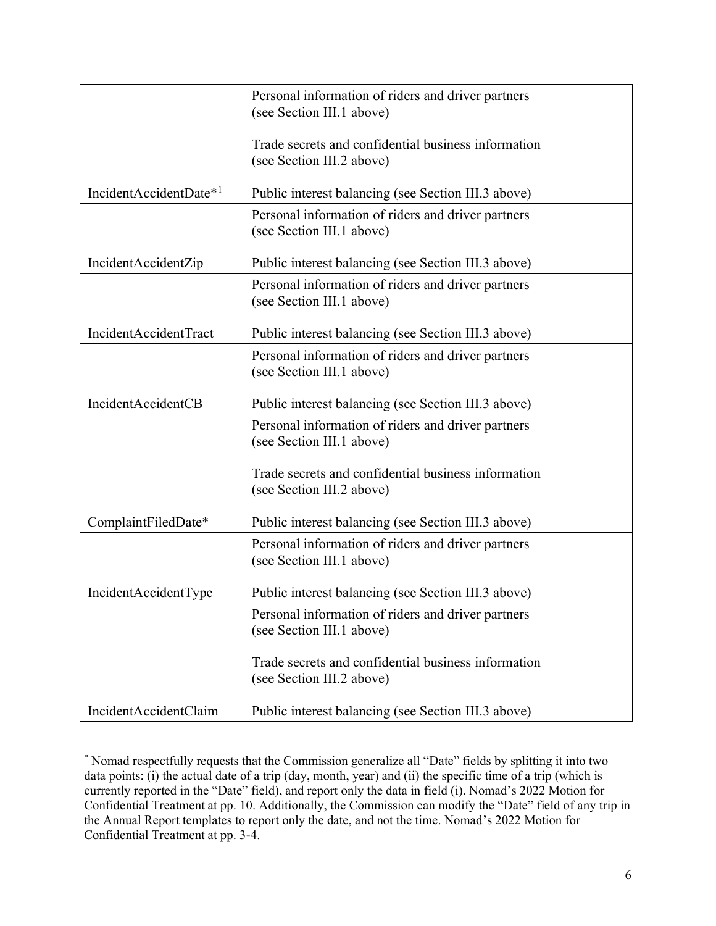|                                    | Personal information of riders and driver partners<br>(see Section III.1 above)  |
|------------------------------------|----------------------------------------------------------------------------------|
|                                    | Trade secrets and confidential business information<br>(see Section III.2 above) |
| IncidentAccidentDate* <sup>1</sup> | Public interest balancing (see Section III.3 above)                              |
|                                    | Personal information of riders and driver partners<br>(see Section III.1 above)  |
| IncidentAccidentZip                | Public interest balancing (see Section III.3 above)                              |
|                                    | Personal information of riders and driver partners<br>(see Section III.1 above)  |
| IncidentAccidentTract              | Public interest balancing (see Section III.3 above)                              |
|                                    | Personal information of riders and driver partners<br>(see Section III.1 above)  |
| IncidentAccidentCB                 | Public interest balancing (see Section III.3 above)                              |
|                                    | Personal information of riders and driver partners<br>(see Section III.1 above)  |
|                                    | Trade secrets and confidential business information<br>(see Section III.2 above) |
| ComplaintFiledDate*                | Public interest balancing (see Section III.3 above)                              |
|                                    | Personal information of riders and driver partners<br>(see Section III.1 above)  |
| IncidentAccidentType               | Public interest balancing (see Section III.3 above)                              |
|                                    | Personal information of riders and driver partners<br>(see Section III.1 above)  |
|                                    | Trade secrets and confidential business information<br>(see Section III.2 above) |
| IncidentAccidentClaim              | Public interest balancing (see Section III.3 above)                              |

<sup>\*</sup> Nomad respectfully requests that the Commission generalize all "Date" fields by splitting it into two data points: (i) the actual date of a trip (day, month, year) and (ii) the specific time of a trip (which is currently reported in the "Date" field), and report only the data in field (i). Nomad's 2022 Motion for Confidential Treatment at pp. 10. Additionally, the Commission can modify the "Date" field of any trip in the Annual Report templates to report only the date, and not the time. Nomad's 2022 Motion for Confidential Treatment at pp. 3-4.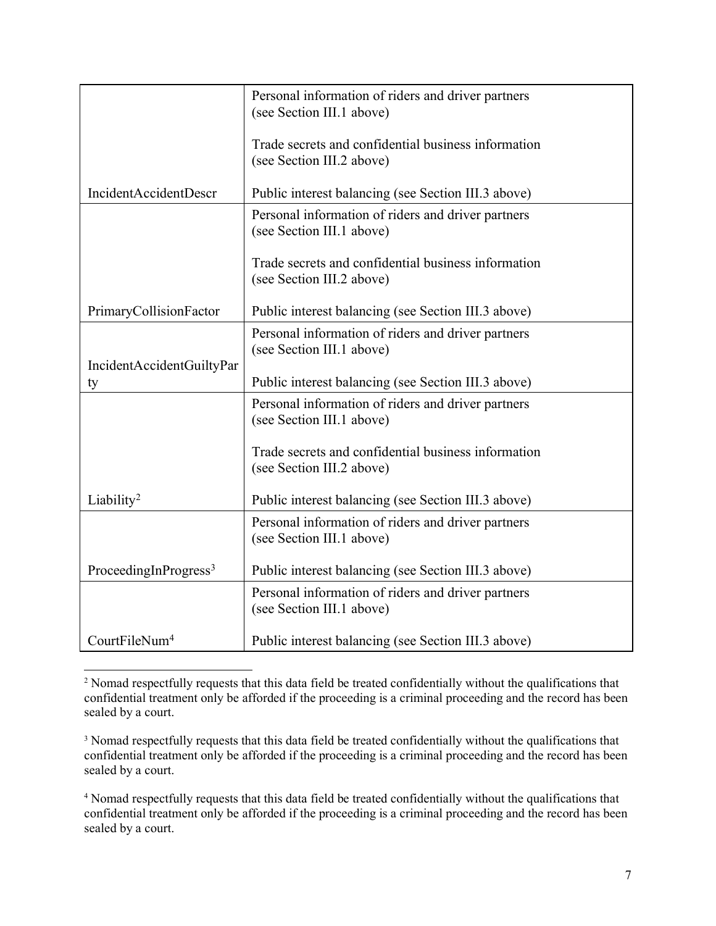|                                   | Personal information of riders and driver partners<br>(see Section III.1 above)  |
|-----------------------------------|----------------------------------------------------------------------------------|
|                                   | Trade secrets and confidential business information<br>(see Section III.2 above) |
| IncidentAccidentDescr             | Public interest balancing (see Section III.3 above)                              |
|                                   | Personal information of riders and driver partners<br>(see Section III.1 above)  |
|                                   | Trade secrets and confidential business information<br>(see Section III.2 above) |
| PrimaryCollisionFactor            | Public interest balancing (see Section III.3 above)                              |
| IncidentAccidentGuiltyPar         | Personal information of riders and driver partners<br>(see Section III.1 above)  |
| ty                                | Public interest balancing (see Section III.3 above)                              |
|                                   | Personal information of riders and driver partners<br>(see Section III.1 above)  |
|                                   | Trade secrets and confidential business information<br>(see Section III.2 above) |
| Liability <sup>2</sup>            | Public interest balancing (see Section III.3 above)                              |
|                                   | Personal information of riders and driver partners<br>(see Section III.1 above)  |
| ProceedingInProgress <sup>3</sup> | Public interest balancing (see Section III.3 above)                              |
|                                   | Personal information of riders and driver partners<br>(see Section III.1 above)  |
| CourtFileNum <sup>4</sup>         | Public interest balancing (see Section III.3 above)                              |

<sup>2</sup> Nomad respectfully requests that this data field be treated confidentially without the qualifications that confidential treatment only be afforded if the proceeding is a criminal proceeding and the record has been sealed by a court.

<sup>&</sup>lt;sup>3</sup> Nomad respectfully requests that this data field be treated confidentially without the qualifications that confidential treatment only be afforded if the proceeding is a criminal proceeding and the record has been sealed by a court.

<sup>4</sup> Nomad respectfully requests that this data field be treated confidentially without the qualifications that confidential treatment only be afforded if the proceeding is a criminal proceeding and the record has been sealed by a court.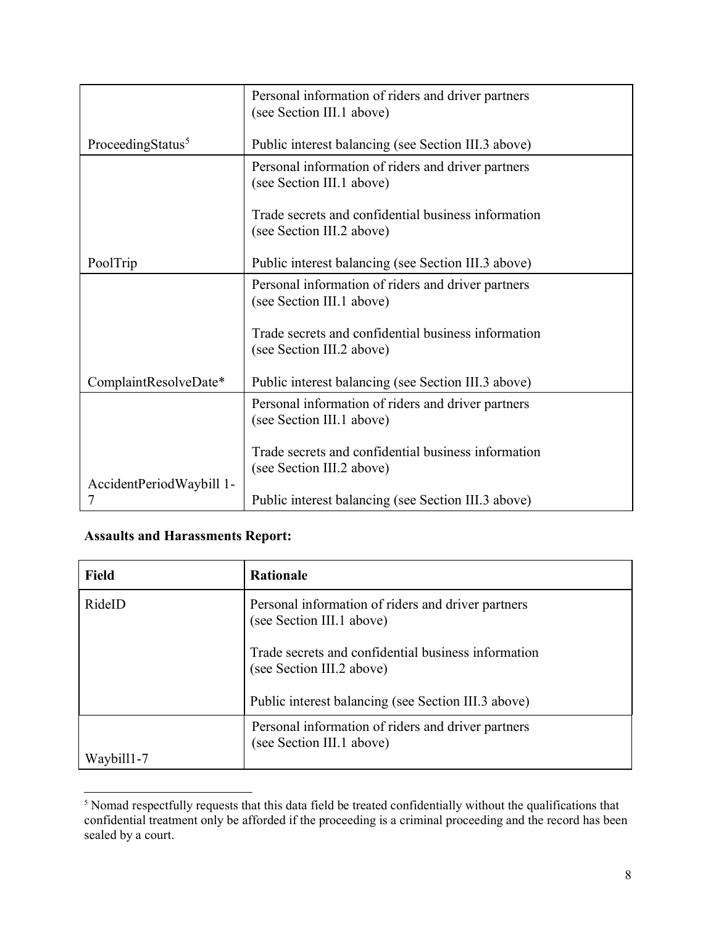|                               | Personal information of riders and driver partners                               |
|-------------------------------|----------------------------------------------------------------------------------|
|                               | (see Section III.1 above)                                                        |
| ProceedingStatus <sup>5</sup> | Public interest balancing (see Section III.3 above)                              |
|                               | Personal information of riders and driver partners<br>(see Section III.1 above)  |
|                               | Trade secrets and confidential business information<br>(see Section III.2 above) |
| PoolTrip                      | Public interest balancing (see Section III.3 above)                              |
|                               | Personal information of riders and driver partners<br>(see Section III.1 above)  |
|                               | Trade secrets and confidential business information<br>(see Section III.2 above) |
| ComplaintResolveDate*         | Public interest balancing (see Section III.3 above)                              |
|                               | Personal information of riders and driver partners<br>(see Section III.1 above)  |
|                               | Trade secrets and confidential business information<br>(see Section III.2 above) |
| AccidentPeriodWaybill 1-      | Public interest balancing (see Section III.3 above)                              |

### **Assaults and Harassments Report:**

| <b>Field</b> | <b>Rationale</b>                                                                 |
|--------------|----------------------------------------------------------------------------------|
| RideID       | Personal information of riders and driver partners<br>(see Section III.1 above)  |
|              | Trade secrets and confidential business information<br>(see Section III.2 above) |
|              | Public interest balancing (see Section III.3 above)                              |
|              | Personal information of riders and driver partners<br>(see Section III.1 above)  |
| Waybill1-7   |                                                                                  |

<sup>5</sup> Nomad respectfully requests that this data field be treated confidentially without the qualifications that confidential treatment only be afforded if the proceeding is a criminal proceeding and the record has been sealed by a court.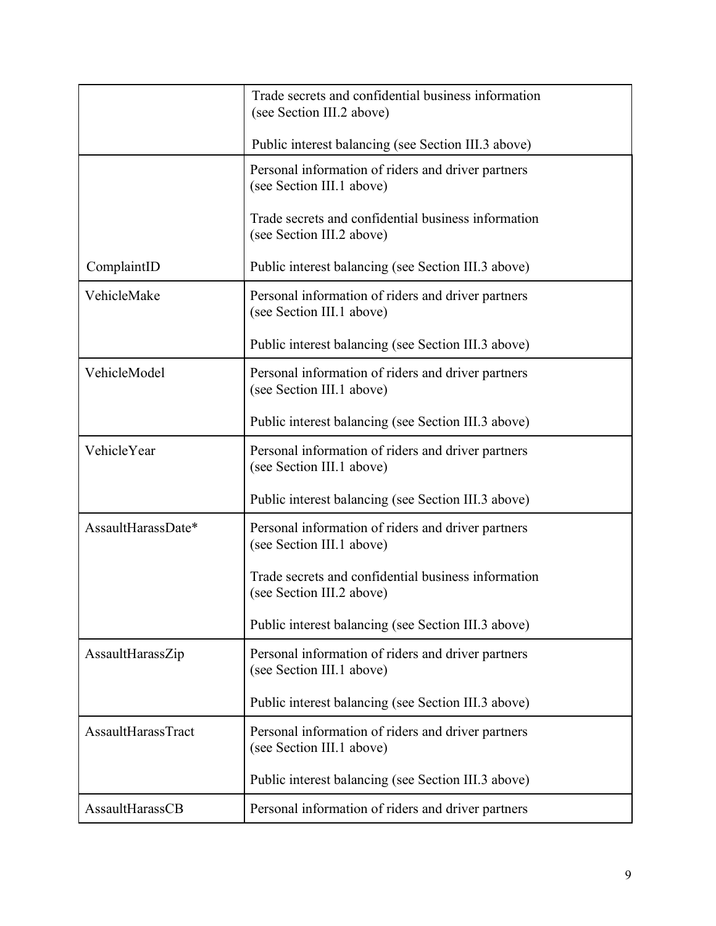|                    | Trade secrets and confidential business information<br>(see Section III.2 above) |
|--------------------|----------------------------------------------------------------------------------|
|                    | Public interest balancing (see Section III.3 above)                              |
|                    | Personal information of riders and driver partners<br>(see Section III.1 above)  |
|                    | Trade secrets and confidential business information<br>(see Section III.2 above) |
| ComplaintID        | Public interest balancing (see Section III.3 above)                              |
| VehicleMake        | Personal information of riders and driver partners<br>(see Section III.1 above)  |
|                    | Public interest balancing (see Section III.3 above)                              |
| VehicleModel       | Personal information of riders and driver partners<br>(see Section III.1 above)  |
|                    | Public interest balancing (see Section III.3 above)                              |
| VehicleYear        | Personal information of riders and driver partners<br>(see Section III.1 above)  |
|                    | Public interest balancing (see Section III.3 above)                              |
| AssaultHarassDate* | Personal information of riders and driver partners<br>(see Section III.1 above)  |
|                    | Trade secrets and confidential business information<br>(see Section III.2 above) |
|                    | Public interest balancing (see Section III.3 above)                              |
| AssaultHarassZip   | Personal information of riders and driver partners<br>(see Section III.1 above)  |
|                    | Public interest balancing (see Section III.3 above)                              |
| AssaultHarassTract | Personal information of riders and driver partners<br>(see Section III.1 above)  |
|                    | Public interest balancing (see Section III.3 above)                              |
| AssaultHarassCB    | Personal information of riders and driver partners                               |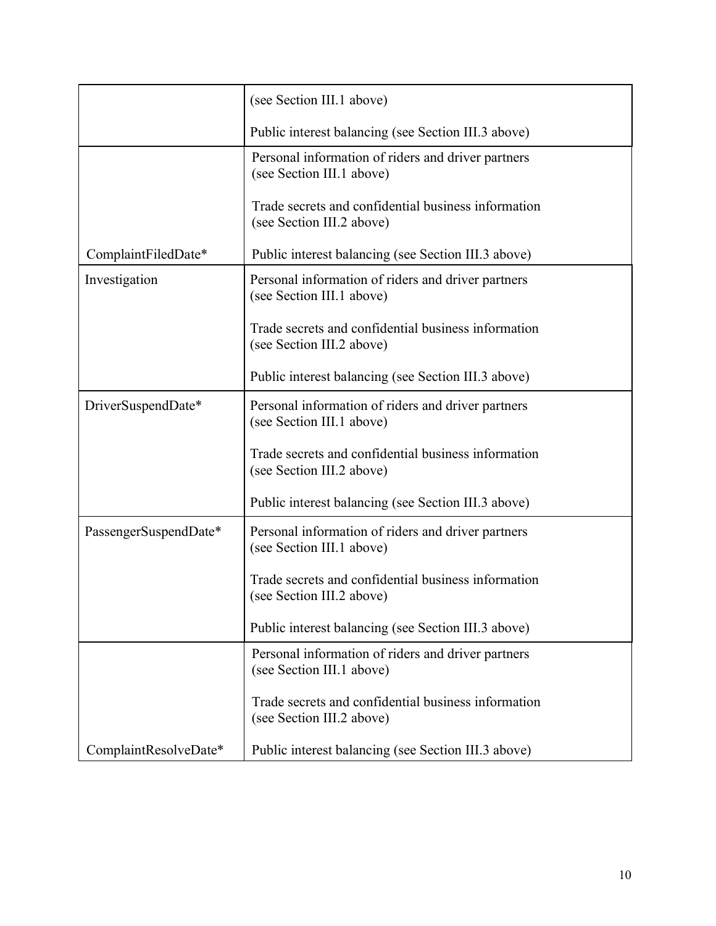|                       | (see Section III.1 above)                                                        |
|-----------------------|----------------------------------------------------------------------------------|
|                       | Public interest balancing (see Section III.3 above)                              |
|                       | Personal information of riders and driver partners<br>(see Section III.1 above)  |
|                       | Trade secrets and confidential business information<br>(see Section III.2 above) |
| ComplaintFiledDate*   | Public interest balancing (see Section III.3 above)                              |
| Investigation         | Personal information of riders and driver partners<br>(see Section III.1 above)  |
|                       | Trade secrets and confidential business information<br>(see Section III.2 above) |
|                       | Public interest balancing (see Section III.3 above)                              |
| DriverSuspendDate*    | Personal information of riders and driver partners<br>(see Section III.1 above)  |
|                       | Trade secrets and confidential business information<br>(see Section III.2 above) |
|                       | Public interest balancing (see Section III.3 above)                              |
| PassengerSuspendDate* | Personal information of riders and driver partners<br>(see Section III.1 above)  |
|                       | Trade secrets and confidential business information<br>(see Section III.2 above) |
|                       | Public interest balancing (see Section III.3 above)                              |
|                       | Personal information of riders and driver partners<br>(see Section III.1 above)  |
|                       | Trade secrets and confidential business information<br>(see Section III.2 above) |
| ComplaintResolveDate* | Public interest balancing (see Section III.3 above)                              |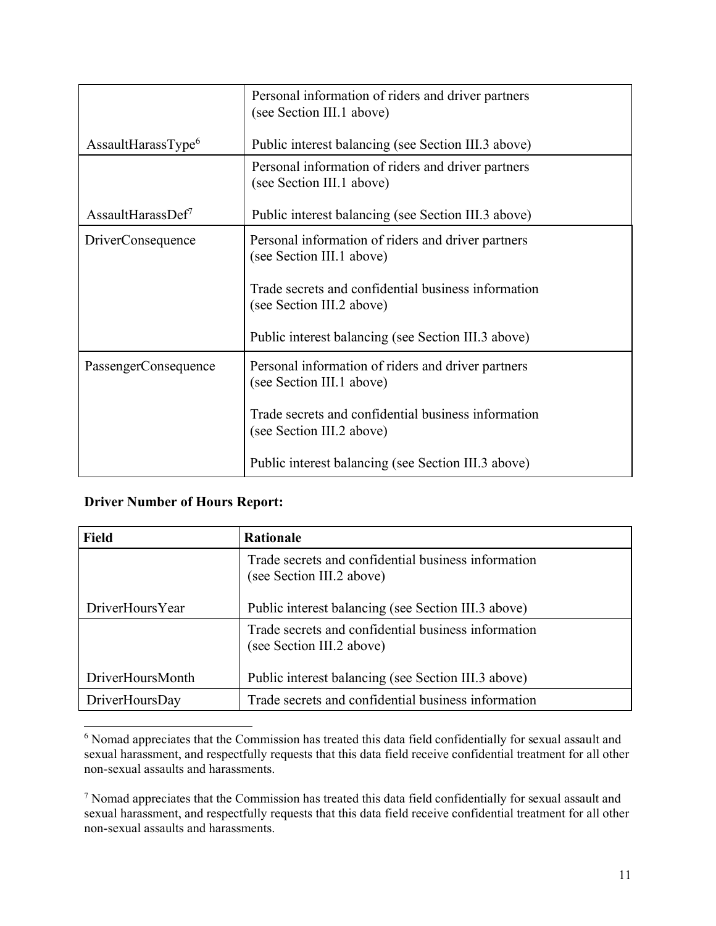|                               | Personal information of riders and driver partners<br>(see Section III.1 above)  |
|-------------------------------|----------------------------------------------------------------------------------|
| AssaultHarasType <sup>6</sup> | Public interest balancing (see Section III.3 above)                              |
|                               | Personal information of riders and driver partners<br>(see Section III.1 above)  |
| AssaultHarassDef <sup>7</sup> | Public interest balancing (see Section III.3 above)                              |
| <b>DriverConsequence</b>      | Personal information of riders and driver partners<br>(see Section III.1 above)  |
|                               | Trade secrets and confidential business information<br>(see Section III.2 above) |
|                               | Public interest balancing (see Section III.3 above)                              |
| PassengerConsequence          | Personal information of riders and driver partners<br>(see Section III.1 above)  |
|                               | Trade secrets and confidential business information<br>(see Section III.2 above) |
|                               | Public interest balancing (see Section III.3 above)                              |

#### **Driver Number of Hours Report:**

| <b>Field</b>     | <b>Rationale</b>                                                                 |
|------------------|----------------------------------------------------------------------------------|
|                  | Trade secrets and confidential business information<br>(see Section III.2 above) |
| DriverHoursYear  | Public interest balancing (see Section III.3 above)                              |
|                  | Trade secrets and confidential business information<br>(see Section III.2 above) |
| DriverHoursMonth | Public interest balancing (see Section III.3 above)                              |
| DriverHoursDay   | Trade secrets and confidential business information                              |

<sup>6</sup> Nomad appreciates that the Commission has treated this data field confidentially for sexual assault and sexual harassment, and respectfully requests that this data field receive confidential treatment for all other non-sexual assaults and harassments.

<sup>7</sup> Nomad appreciates that the Commission has treated this data field confidentially for sexual assault and sexual harassment, and respectfully requests that this data field receive confidential treatment for all other non-sexual assaults and harassments.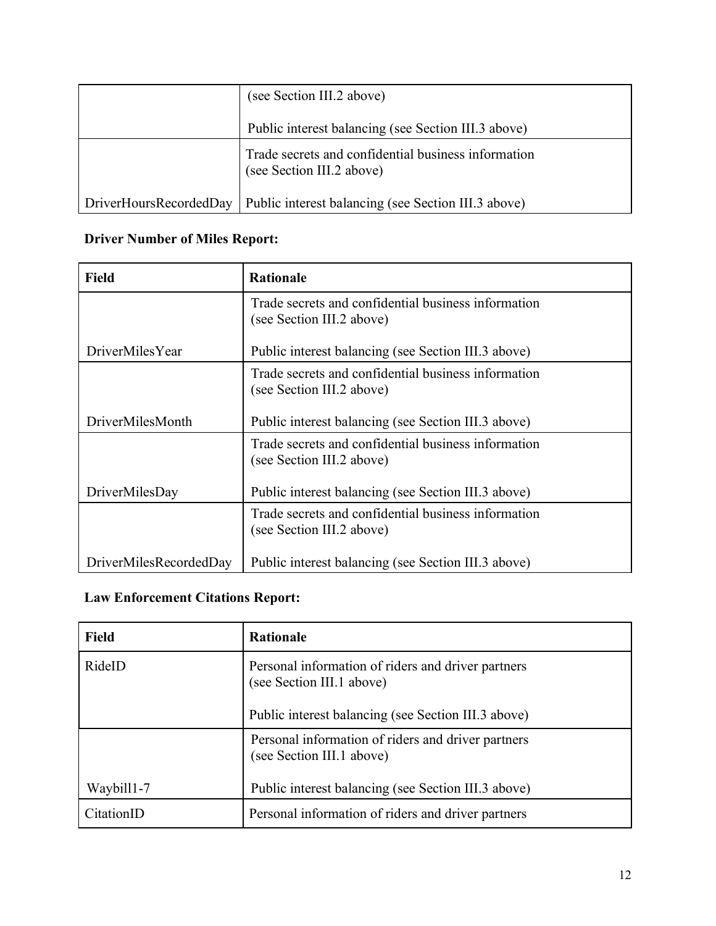|                        | (see Section III.2 above)                                                        |
|------------------------|----------------------------------------------------------------------------------|
|                        | Public interest balancing (see Section III.3 above)                              |
|                        | Trade secrets and confidential business information<br>(see Section III.2 above) |
| DriverHoursRecordedDay | Public interest balancing (see Section III.3 above)                              |

# **Driver Number of Miles Report:**

| <b>Field</b>           | <b>Rationale</b>                                                                 |
|------------------------|----------------------------------------------------------------------------------|
|                        | Trade secrets and confidential business information<br>(see Section III.2 above) |
| <b>DriverMilesYear</b> | Public interest balancing (see Section III.3 above)                              |
|                        | Trade secrets and confidential business information<br>(see Section III.2 above) |
| DriverMilesMonth       | Public interest balancing (see Section III.3 above)                              |
|                        | Trade secrets and confidential business information<br>(see Section III.2 above) |
| DriverMilesDay         | Public interest balancing (see Section III.3 above)                              |
|                        | Trade secrets and confidential business information<br>(see Section III.2 above) |
| DriverMilesRecordedDay | Public interest balancing (see Section III.3 above)                              |

### **Law Enforcement Citations Report:**

| <b>Field</b> | <b>Rationale</b>                                                                |
|--------------|---------------------------------------------------------------------------------|
| RideID       | Personal information of riders and driver partners<br>(see Section III.1 above) |
|              | Public interest balancing (see Section III.3 above)                             |
|              | Personal information of riders and driver partners<br>(see Section III.1 above) |
| Waybill1-7   | Public interest balancing (see Section III.3 above)                             |
| CitationID   | Personal information of riders and driver partners                              |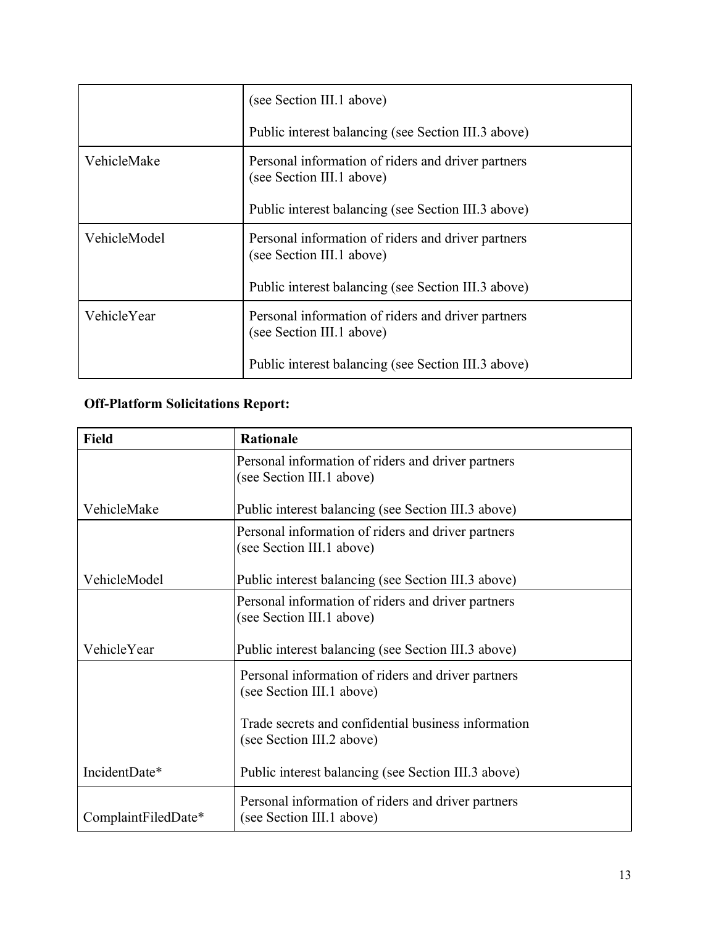|              | (see Section III.1 above)                                                       |
|--------------|---------------------------------------------------------------------------------|
|              | Public interest balancing (see Section III.3 above)                             |
| VehicleMake  | Personal information of riders and driver partners<br>(see Section III.1 above) |
|              | Public interest balancing (see Section III.3 above)                             |
| VehicleModel | Personal information of riders and driver partners<br>(see Section III.1 above) |
|              | Public interest balancing (see Section III.3 above)                             |
| VehicleYear  | Personal information of riders and driver partners<br>(see Section III.1 above) |
|              | Public interest balancing (see Section III.3 above)                             |

# **Off-Platform Solicitations Report:**

| <b>Field</b>        | <b>Rationale</b>                                                                 |
|---------------------|----------------------------------------------------------------------------------|
|                     | Personal information of riders and driver partners<br>(see Section III.1 above)  |
| VehicleMake         | Public interest balancing (see Section III.3 above)                              |
|                     | Personal information of riders and driver partners<br>(see Section III.1 above)  |
| VehicleModel        | Public interest balancing (see Section III.3 above)                              |
|                     | Personal information of riders and driver partners<br>(see Section III.1 above)  |
| VehicleYear         | Public interest balancing (see Section III.3 above)                              |
|                     | Personal information of riders and driver partners<br>(see Section III.1 above)  |
|                     | Trade secrets and confidential business information<br>(see Section III.2 above) |
| IncidentDate*       | Public interest balancing (see Section III.3 above)                              |
| ComplaintFiledDate* | Personal information of riders and driver partners<br>(see Section III.1 above)  |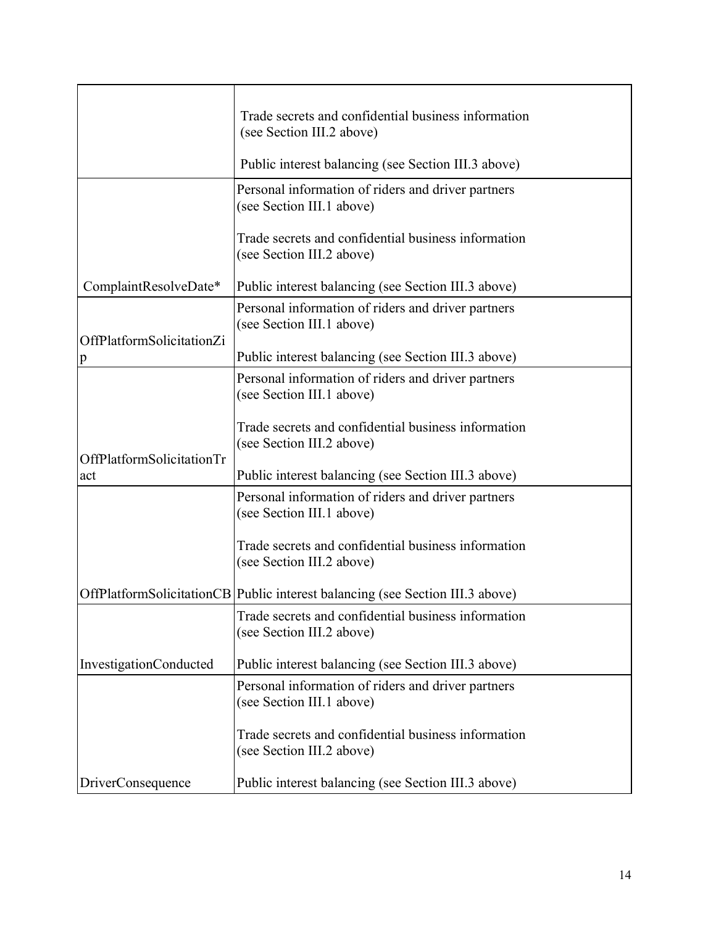|                                           | Trade secrets and confidential business information                              |
|-------------------------------------------|----------------------------------------------------------------------------------|
|                                           | (see Section III.2 above)                                                        |
|                                           | Public interest balancing (see Section III.3 above)                              |
|                                           | Personal information of riders and driver partners<br>(see Section III.1 above)  |
|                                           | Trade secrets and confidential business information<br>(see Section III.2 above) |
| ComplaintResolveDate*                     | Public interest balancing (see Section III.3 above)                              |
|                                           | Personal information of riders and driver partners<br>(see Section III.1 above)  |
| OffPlatformSolicitationZi<br>$\mathbf{p}$ | Public interest balancing (see Section III.3 above)                              |
|                                           | Personal information of riders and driver partners<br>(see Section III.1 above)  |
|                                           | Trade secrets and confidential business information<br>(see Section III.2 above) |
| OffPlatformSolicitationTr<br>act          | Public interest balancing (see Section III.3 above)                              |
|                                           | Personal information of riders and driver partners<br>(see Section III.1 above)  |
|                                           | Trade secrets and confidential business information<br>(see Section III.2 above) |
|                                           | OffPlatformSolicitationCB   Public interest balancing (see Section III.3 above)  |
|                                           | Trade secrets and confidential business information<br>(see Section III.2 above) |
| <b>InvestigationConducted</b>             | Public interest balancing (see Section III.3 above)                              |
|                                           | Personal information of riders and driver partners<br>(see Section III.1 above)  |
|                                           | Trade secrets and confidential business information<br>(see Section III.2 above) |
| <b>DriverConsequence</b>                  | Public interest balancing (see Section III.3 above)                              |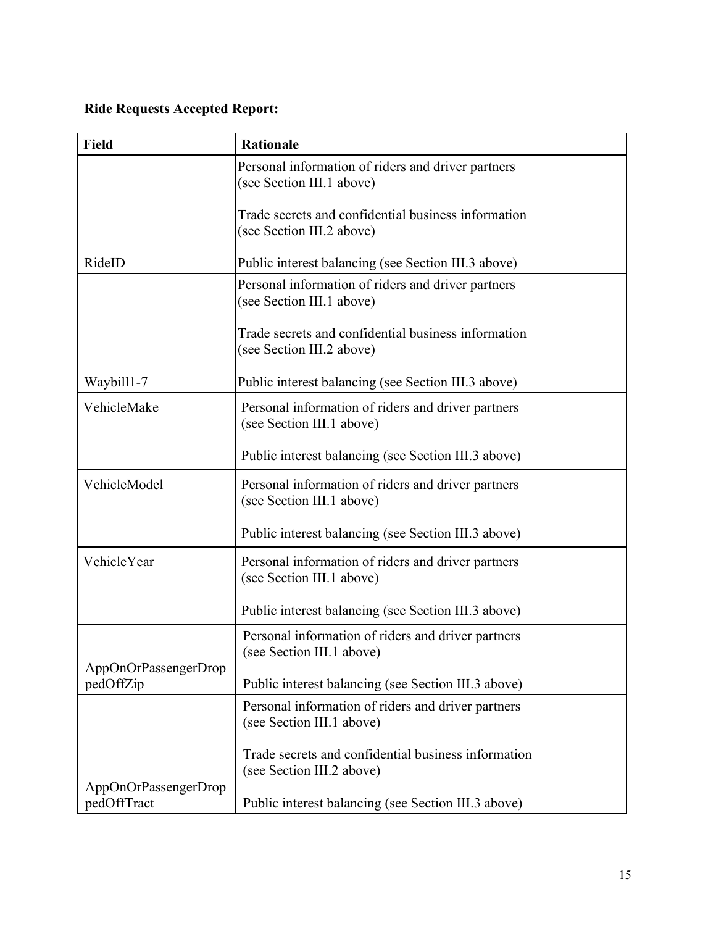# **Ride Requests Accepted Report:**

| <b>Field</b>                        | <b>Rationale</b>                                                                 |
|-------------------------------------|----------------------------------------------------------------------------------|
|                                     | Personal information of riders and driver partners<br>(see Section III.1 above)  |
|                                     | Trade secrets and confidential business information<br>(see Section III.2 above) |
| RideID                              | Public interest balancing (see Section III.3 above)                              |
|                                     | Personal information of riders and driver partners<br>(see Section III.1 above)  |
|                                     | Trade secrets and confidential business information<br>(see Section III.2 above) |
| Waybill1-7                          | Public interest balancing (see Section III.3 above)                              |
| VehicleMake                         | Personal information of riders and driver partners<br>(see Section III.1 above)  |
|                                     | Public interest balancing (see Section III.3 above)                              |
| VehicleModel                        | Personal information of riders and driver partners<br>(see Section III.1 above)  |
|                                     | Public interest balancing (see Section III.3 above)                              |
| VehicleYear                         | Personal information of riders and driver partners<br>(see Section III.1 above)  |
|                                     | Public interest balancing (see Section III.3 above)                              |
| AppOnOrPassengerDrop                | Personal information of riders and driver partners<br>(see Section III.1 above)  |
| pedOffZip                           | Public interest balancing (see Section III.3 above)                              |
|                                     | Personal information of riders and driver partners<br>(see Section III.1 above)  |
|                                     | Trade secrets and confidential business information<br>(see Section III.2 above) |
| AppOnOrPassengerDrop<br>pedOffTract | Public interest balancing (see Section III.3 above)                              |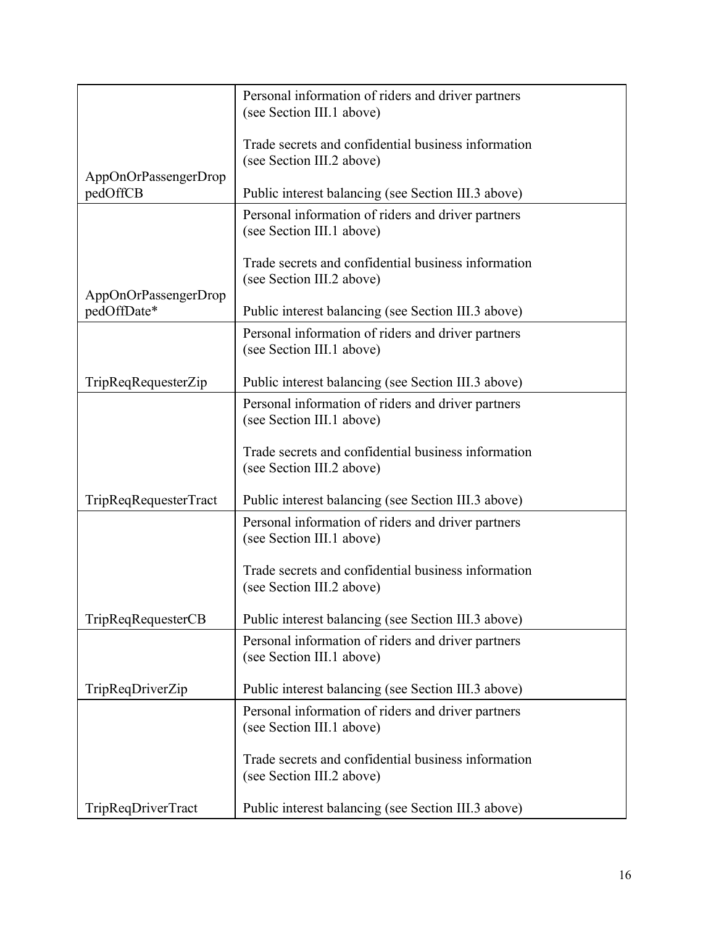|                                     | Personal information of riders and driver partners<br>(see Section III.1 above)  |
|-------------------------------------|----------------------------------------------------------------------------------|
|                                     | Trade secrets and confidential business information                              |
|                                     | (see Section III.2 above)                                                        |
| AppOnOrPassengerDrop<br>pedOffCB    | Public interest balancing (see Section III.3 above)                              |
|                                     | Personal information of riders and driver partners<br>(see Section III.1 above)  |
|                                     | Trade secrets and confidential business information<br>(see Section III.2 above) |
| AppOnOrPassengerDrop<br>pedOffDate* | Public interest balancing (see Section III.3 above)                              |
|                                     | Personal information of riders and driver partners<br>(see Section III.1 above)  |
| TripReqRequesterZip                 | Public interest balancing (see Section III.3 above)                              |
|                                     | Personal information of riders and driver partners<br>(see Section III.1 above)  |
|                                     | Trade secrets and confidential business information<br>(see Section III.2 above) |
| TripReqRequesterTract               | Public interest balancing (see Section III.3 above)                              |
|                                     | Personal information of riders and driver partners<br>(see Section III.1 above)  |
|                                     | Trade secrets and confidential business information<br>(see Section III.2 above) |
| TripReqRequesterCB                  | Public interest balancing (see Section III.3 above)                              |
|                                     | Personal information of riders and driver partners<br>(see Section III.1 above)  |
| TripReqDriverZip                    | Public interest balancing (see Section III.3 above)                              |
|                                     | Personal information of riders and driver partners<br>(see Section III.1 above)  |
|                                     | Trade secrets and confidential business information<br>(see Section III.2 above) |
| TripReqDriverTract                  | Public interest balancing (see Section III.3 above)                              |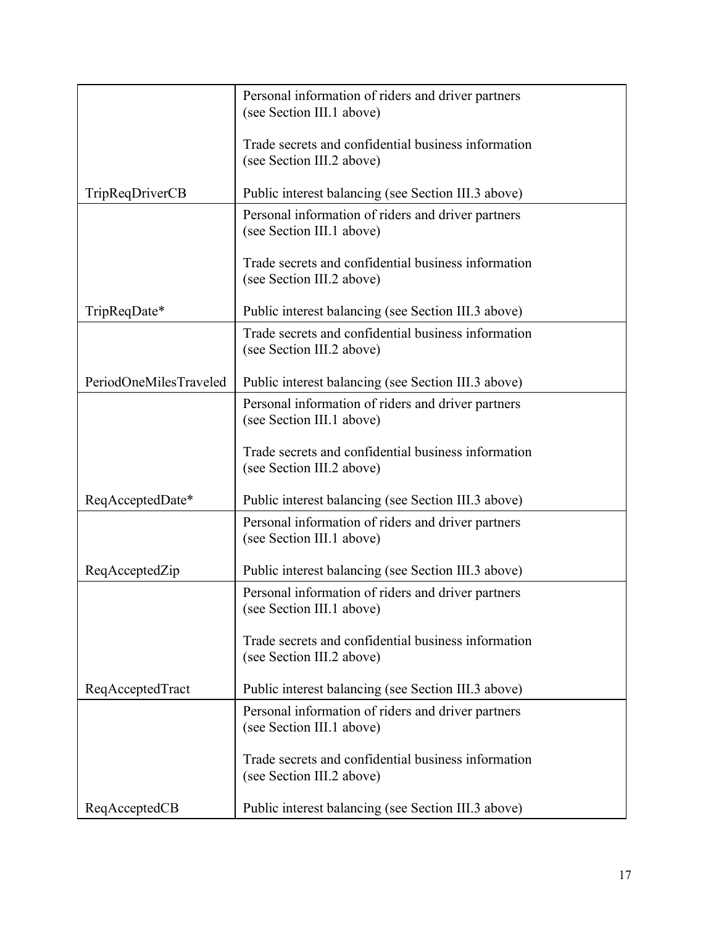|                        | Personal information of riders and driver partners<br>(see Section III.1 above)  |
|------------------------|----------------------------------------------------------------------------------|
|                        | Trade secrets and confidential business information<br>(see Section III.2 above) |
| <b>TripReqDriverCB</b> | Public interest balancing (see Section III.3 above)                              |
|                        | Personal information of riders and driver partners<br>(see Section III.1 above)  |
|                        | Trade secrets and confidential business information<br>(see Section III.2 above) |
| TripReqDate*           | Public interest balancing (see Section III.3 above)                              |
|                        | Trade secrets and confidential business information<br>(see Section III.2 above) |
| PeriodOneMilesTraveled | Public interest balancing (see Section III.3 above)                              |
|                        | Personal information of riders and driver partners<br>(see Section III.1 above)  |
|                        | Trade secrets and confidential business information<br>(see Section III.2 above) |
| ReqAcceptedDate*       | Public interest balancing (see Section III.3 above)                              |
|                        | Personal information of riders and driver partners<br>(see Section III.1 above)  |
| ReqAcceptedZip         | Public interest balancing (see Section III.3 above)                              |
|                        | Personal information of riders and driver partners<br>(see Section III.1 above)  |
|                        | Trade secrets and confidential business information<br>(see Section III.2 above) |
| ReqAcceptedTract       | Public interest balancing (see Section III.3 above)                              |
|                        | Personal information of riders and driver partners<br>(see Section III.1 above)  |
|                        | Trade secrets and confidential business information<br>(see Section III.2 above) |
| ReqAcceptedCB          | Public interest balancing (see Section III.3 above)                              |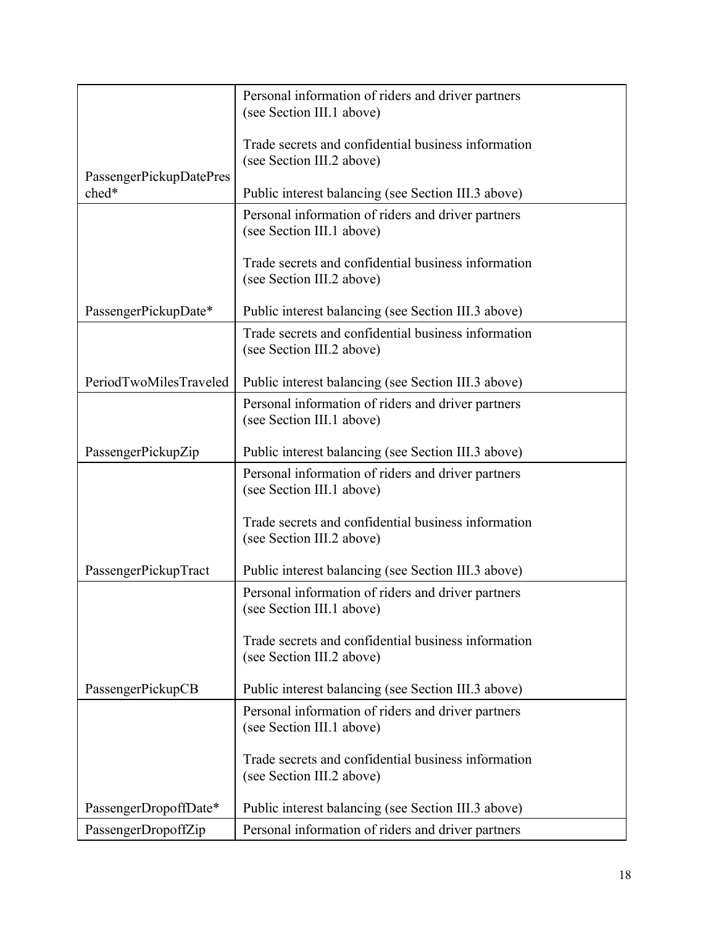|                         | Personal information of riders and driver partners                               |
|-------------------------|----------------------------------------------------------------------------------|
|                         | (see Section III.1 above)                                                        |
|                         | Trade secrets and confidential business information                              |
| PassengerPickupDatePres | (see Section III.2 above)                                                        |
| ched*                   | Public interest balancing (see Section III.3 above)                              |
|                         | Personal information of riders and driver partners<br>(see Section III.1 above)  |
|                         | Trade secrets and confidential business information<br>(see Section III.2 above) |
| PassengerPickupDate*    | Public interest balancing (see Section III.3 above)                              |
|                         | Trade secrets and confidential business information<br>(see Section III.2 above) |
| PeriodTwoMilesTraveled  | Public interest balancing (see Section III.3 above)                              |
|                         | Personal information of riders and driver partners<br>(see Section III.1 above)  |
| PassengerPickupZip      | Public interest balancing (see Section III.3 above)                              |
|                         | Personal information of riders and driver partners<br>(see Section III.1 above)  |
|                         | Trade secrets and confidential business information<br>(see Section III.2 above) |
| PassengerPickupTract    | Public interest balancing (see Section III.3 above)                              |
|                         | Personal information of riders and driver partners<br>(see Section III.1 above)  |
|                         | Trade secrets and confidential business information<br>(see Section III.2 above) |
| PassengerPickupCB       | Public interest balancing (see Section III.3 above)                              |
|                         | Personal information of riders and driver partners<br>(see Section III.1 above)  |
|                         | Trade secrets and confidential business information<br>(see Section III.2 above) |
| PassengerDropoffDate*   | Public interest balancing (see Section III.3 above)                              |
| PassengerDropoffZip     | Personal information of riders and driver partners                               |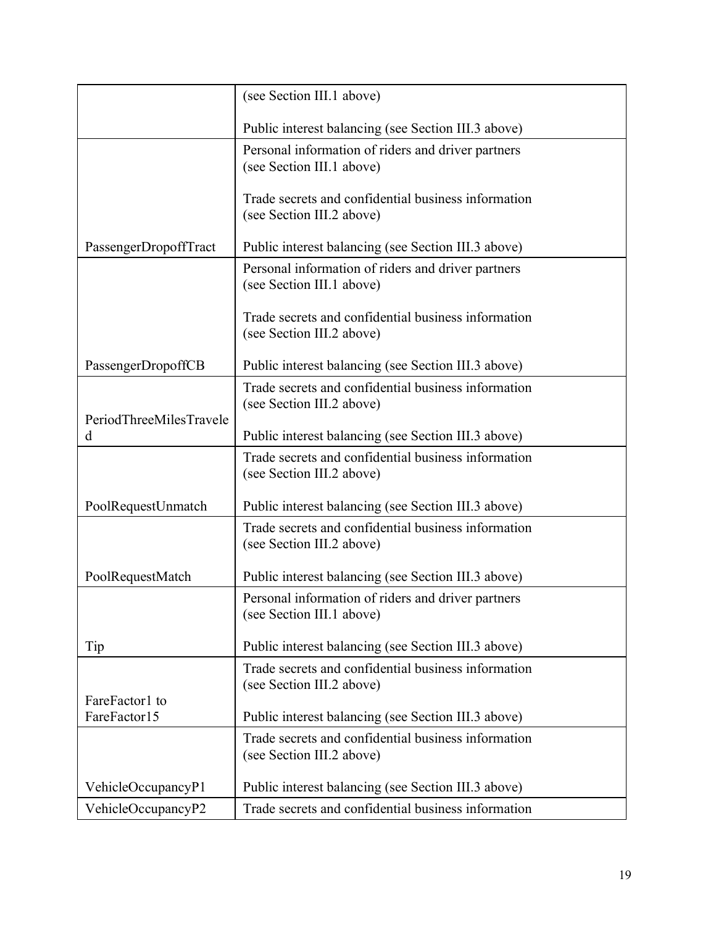|                                | (see Section III.1 above)                                                        |
|--------------------------------|----------------------------------------------------------------------------------|
|                                | Public interest balancing (see Section III.3 above)                              |
|                                | Personal information of riders and driver partners<br>(see Section III.1 above)  |
|                                | Trade secrets and confidential business information<br>(see Section III.2 above) |
| PassengerDropoffTract          | Public interest balancing (see Section III.3 above)                              |
|                                | Personal information of riders and driver partners<br>(see Section III.1 above)  |
|                                | Trade secrets and confidential business information<br>(see Section III.2 above) |
| PassengerDropoffCB             | Public interest balancing (see Section III.3 above)                              |
| PeriodThreeMilesTravele        | Trade secrets and confidential business information<br>(see Section III.2 above) |
| d                              | Public interest balancing (see Section III.3 above)                              |
|                                | Trade secrets and confidential business information<br>(see Section III.2 above) |
| PoolRequestUnmatch             | Public interest balancing (see Section III.3 above)                              |
|                                | Trade secrets and confidential business information<br>(see Section III.2 above) |
| PoolRequestMatch               | Public interest balancing (see Section III.3 above)                              |
|                                | Personal information of riders and driver partners<br>(see Section III.1 above)  |
| Tip                            | Public interest balancing (see Section III.3 above)                              |
|                                | Trade secrets and confidential business information<br>(see Section III.2 above) |
| FareFactor1 to<br>FareFactor15 | Public interest balancing (see Section III.3 above)                              |
|                                | Trade secrets and confidential business information<br>(see Section III.2 above) |
| VehicleOccupancyP1             | Public interest balancing (see Section III.3 above)                              |
| VehicleOccupancyP2             | Trade secrets and confidential business information                              |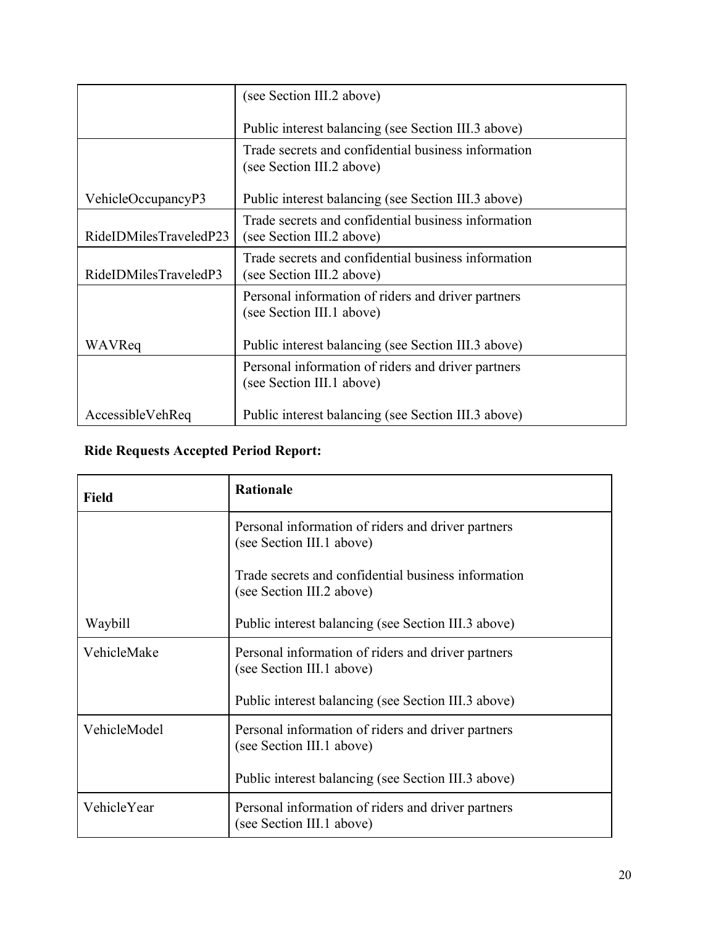|                        | (see Section III.2 above)                                                        |
|------------------------|----------------------------------------------------------------------------------|
|                        | Public interest balancing (see Section III.3 above)                              |
|                        | Trade secrets and confidential business information<br>(see Section III.2 above) |
| VehicleOccupancyP3     | Public interest balancing (see Section III.3 above)                              |
| RideIDMilesTraveledP23 | Trade secrets and confidential business information<br>(see Section III.2 above) |
| RideIDMilesTraveledP3  | Trade secrets and confidential business information<br>(see Section III.2 above) |
|                        | Personal information of riders and driver partners<br>(see Section III.1 above)  |
| WAVReq                 | Public interest balancing (see Section III.3 above)                              |
|                        | Personal information of riders and driver partners<br>(see Section III.1 above)  |
| AccessibleVehReq       | Public interest balancing (see Section III.3 above)                              |

# **Ride Requests Accepted Period Report:**

| <b>Field</b> | <b>Rationale</b>                                                                 |
|--------------|----------------------------------------------------------------------------------|
|              | Personal information of riders and driver partners<br>(see Section III.1 above)  |
|              | Trade secrets and confidential business information<br>(see Section III.2 above) |
| Waybill      | Public interest balancing (see Section III.3 above)                              |
| VehicleMake  | Personal information of riders and driver partners<br>(see Section III.1 above)  |
|              | Public interest balancing (see Section III.3 above)                              |
| VehicleModel | Personal information of riders and driver partners<br>(see Section III.1 above)  |
|              | Public interest balancing (see Section III.3 above)                              |
| VehicleYear  | Personal information of riders and driver partners<br>(see Section III.1 above)  |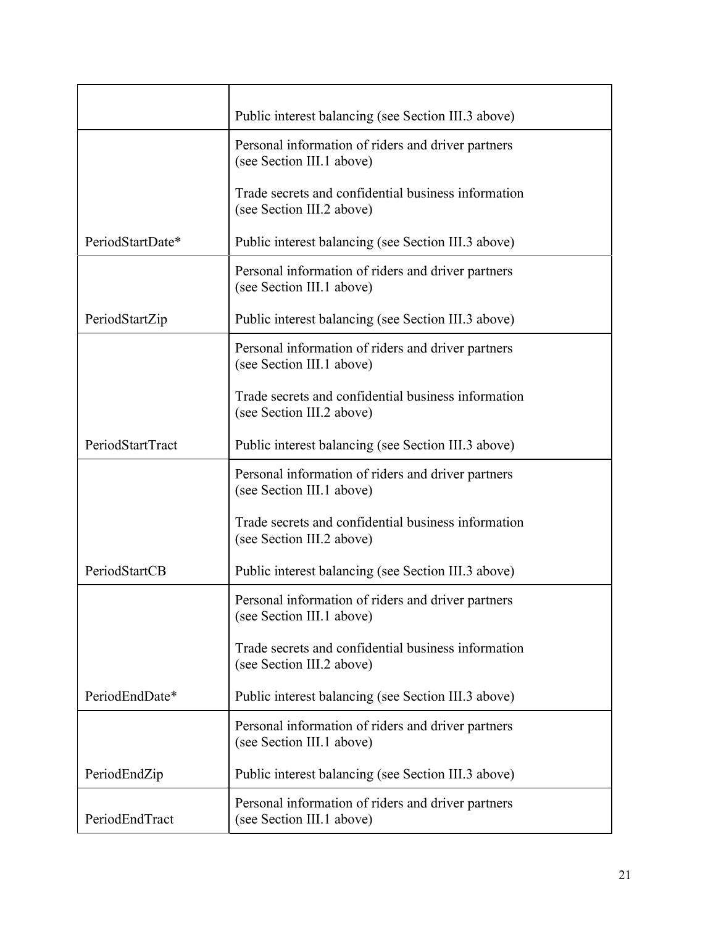|                  | Public interest balancing (see Section III.3 above)                              |
|------------------|----------------------------------------------------------------------------------|
|                  | Personal information of riders and driver partners<br>(see Section III.1 above)  |
|                  | Trade secrets and confidential business information<br>(see Section III.2 above) |
| PeriodStartDate* | Public interest balancing (see Section III.3 above)                              |
|                  | Personal information of riders and driver partners<br>(see Section III.1 above)  |
| PeriodStartZip   | Public interest balancing (see Section III.3 above)                              |
|                  | Personal information of riders and driver partners<br>(see Section III.1 above)  |
|                  | Trade secrets and confidential business information<br>(see Section III.2 above) |
| PeriodStartTract | Public interest balancing (see Section III.3 above)                              |
|                  | Personal information of riders and driver partners<br>(see Section III.1 above)  |
|                  | Trade secrets and confidential business information<br>(see Section III.2 above) |
| PeriodStartCB    | Public interest balancing (see Section III.3 above)                              |
|                  | Personal information of riders and driver partners<br>(see Section III.1 above)  |
|                  | Trade secrets and confidential business information<br>(see Section III.2 above) |
| PeriodEndDate*   | Public interest balancing (see Section III.3 above)                              |
|                  | Personal information of riders and driver partners<br>(see Section III.1 above)  |
| PeriodEndZip     | Public interest balancing (see Section III.3 above)                              |
| PeriodEndTract   | Personal information of riders and driver partners<br>(see Section III.1 above)  |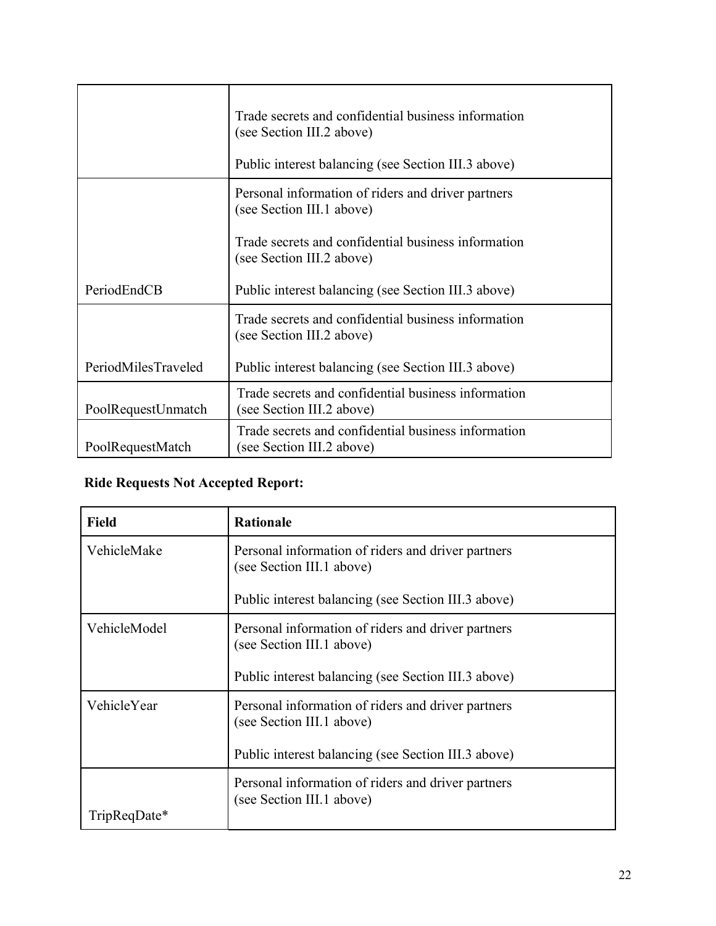|                     | Trade secrets and confidential business information<br>(see Section III.2 above)<br>Public interest balancing (see Section III.3 above) |
|---------------------|-----------------------------------------------------------------------------------------------------------------------------------------|
|                     | Personal information of riders and driver partners<br>(see Section III.1 above)                                                         |
|                     | Trade secrets and confidential business information<br>(see Section III.2 above)                                                        |
| PeriodEndCB         | Public interest balancing (see Section III.3 above)                                                                                     |
|                     | Trade secrets and confidential business information<br>(see Section III.2 above)                                                        |
| PeriodMilesTraveled | Public interest balancing (see Section III.3 above)                                                                                     |
| PoolRequestUnmatch  | Trade secrets and confidential business information<br>(see Section III.2 above)                                                        |
| PoolRequestMatch    | Trade secrets and confidential business information<br>(see Section III.2 above)                                                        |

# **Ride Requests Not Accepted Report:**

| <b>Field</b> | <b>Rationale</b>                                                                |
|--------------|---------------------------------------------------------------------------------|
| VehicleMake  | Personal information of riders and driver partners<br>(see Section III.1 above) |
|              | Public interest balancing (see Section III.3 above)                             |
| VehicleModel | Personal information of riders and driver partners<br>(see Section III.1 above) |
|              | Public interest balancing (see Section III.3 above)                             |
| VehicleYear  | Personal information of riders and driver partners<br>(see Section III.1 above) |
|              | Public interest balancing (see Section III.3 above)                             |
| TripReqDate* | Personal information of riders and driver partners<br>(see Section III.1 above) |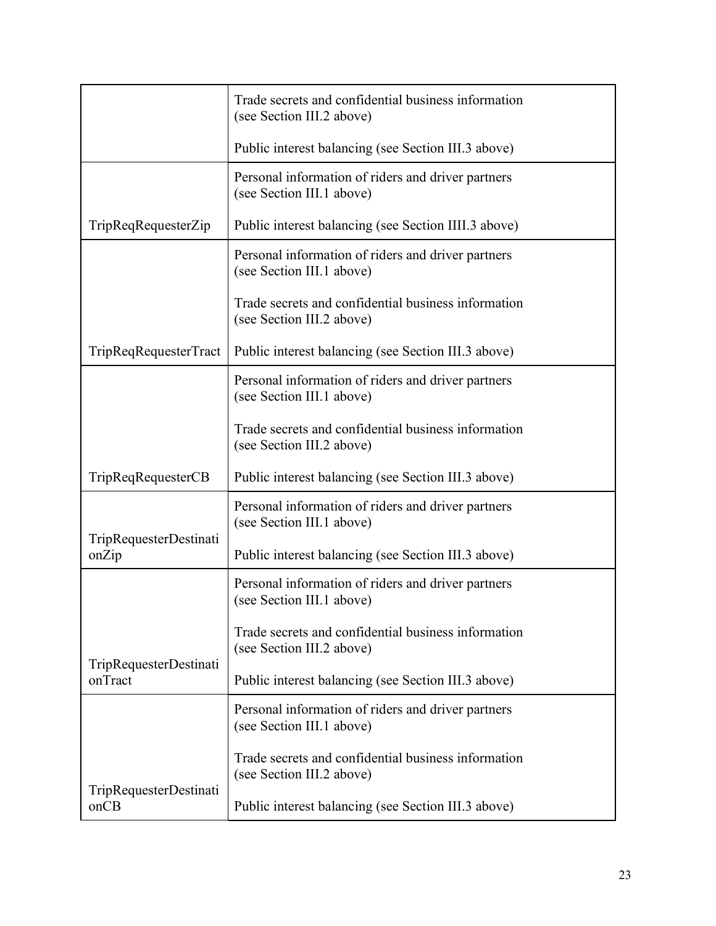|                                   | Trade secrets and confidential business information<br>(see Section III.2 above) |
|-----------------------------------|----------------------------------------------------------------------------------|
|                                   | Public interest balancing (see Section III.3 above)                              |
|                                   | Personal information of riders and driver partners<br>(see Section III.1 above)  |
| TripReqRequesterZip               | Public interest balancing (see Section IIII.3 above)                             |
|                                   | Personal information of riders and driver partners<br>(see Section III.1 above)  |
|                                   | Trade secrets and confidential business information<br>(see Section III.2 above) |
| TripReqRequesterTract             | Public interest balancing (see Section III.3 above)                              |
|                                   | Personal information of riders and driver partners<br>(see Section III.1 above)  |
|                                   | Trade secrets and confidential business information<br>(see Section III.2 above) |
| <b>TripReqRequesterCB</b>         | Public interest balancing (see Section III.3 above)                              |
|                                   | Personal information of riders and driver partners<br>(see Section III.1 above)  |
| TripRequesterDestinati<br>onZip   | Public interest balancing (see Section III.3 above)                              |
|                                   | Personal information of riders and driver partners<br>(see Section III.1 above)  |
|                                   | Trade secrets and confidential business information<br>(see Section III.2 above) |
| TripRequesterDestinati<br>onTract | Public interest balancing (see Section III.3 above)                              |
|                                   | Personal information of riders and driver partners<br>(see Section III.1 above)  |
|                                   | Trade secrets and confidential business information<br>(see Section III.2 above) |
| TripRequesterDestinati<br>onCB    | Public interest balancing (see Section III.3 above)                              |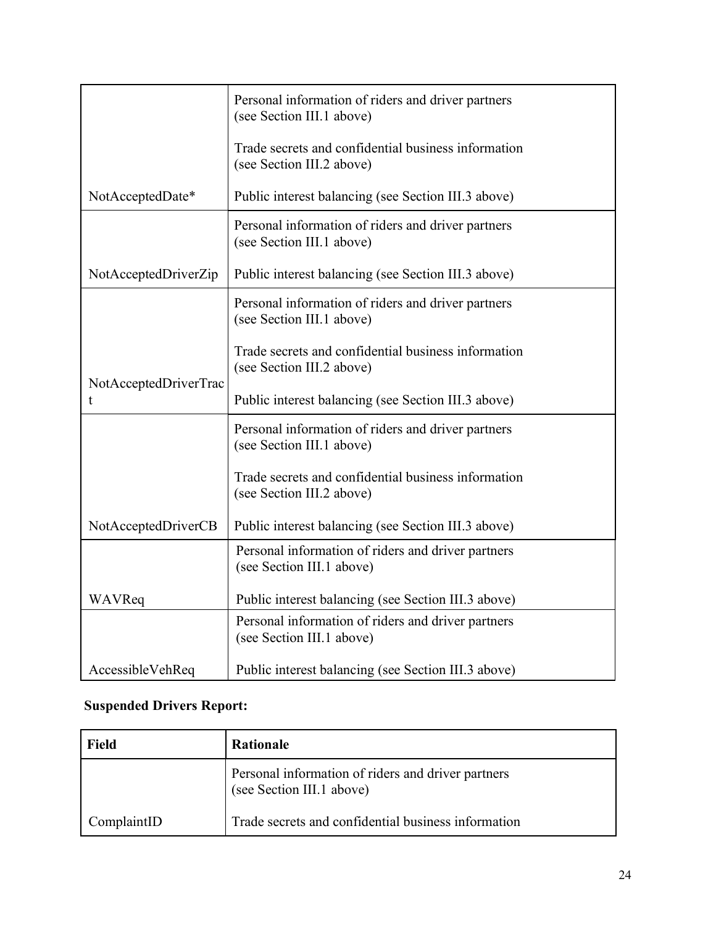|                            | Personal information of riders and driver partners<br>(see Section III.1 above)  |
|----------------------------|----------------------------------------------------------------------------------|
|                            | Trade secrets and confidential business information<br>(see Section III.2 above) |
| NotAcceptedDate*           | Public interest balancing (see Section III.3 above)                              |
|                            | Personal information of riders and driver partners<br>(see Section III.1 above)  |
| NotAcceptedDriverZip       | Public interest balancing (see Section III.3 above)                              |
|                            | Personal information of riders and driver partners<br>(see Section III.1 above)  |
|                            | Trade secrets and confidential business information<br>(see Section III.2 above) |
| NotAcceptedDriverTrac<br>t | Public interest balancing (see Section III.3 above)                              |
|                            | Personal information of riders and driver partners<br>(see Section III.1 above)  |
|                            | Trade secrets and confidential business information<br>(see Section III.2 above) |
| NotAcceptedDriverCB        | Public interest balancing (see Section III.3 above)                              |
|                            | Personal information of riders and driver partners<br>(see Section III.1 above)  |
| WAVReq                     | Public interest balancing (see Section III.3 above)                              |
|                            | Personal information of riders and driver partners<br>(see Section III.1 above)  |
| AccessibleVehReq           | Public interest balancing (see Section III.3 above)                              |

# **Suspended Drivers Report:**

| Field       | <b>Rationale</b>                                                                |
|-------------|---------------------------------------------------------------------------------|
|             | Personal information of riders and driver partners<br>(see Section III.1 above) |
| ComplaintID | Trade secrets and confidential business information                             |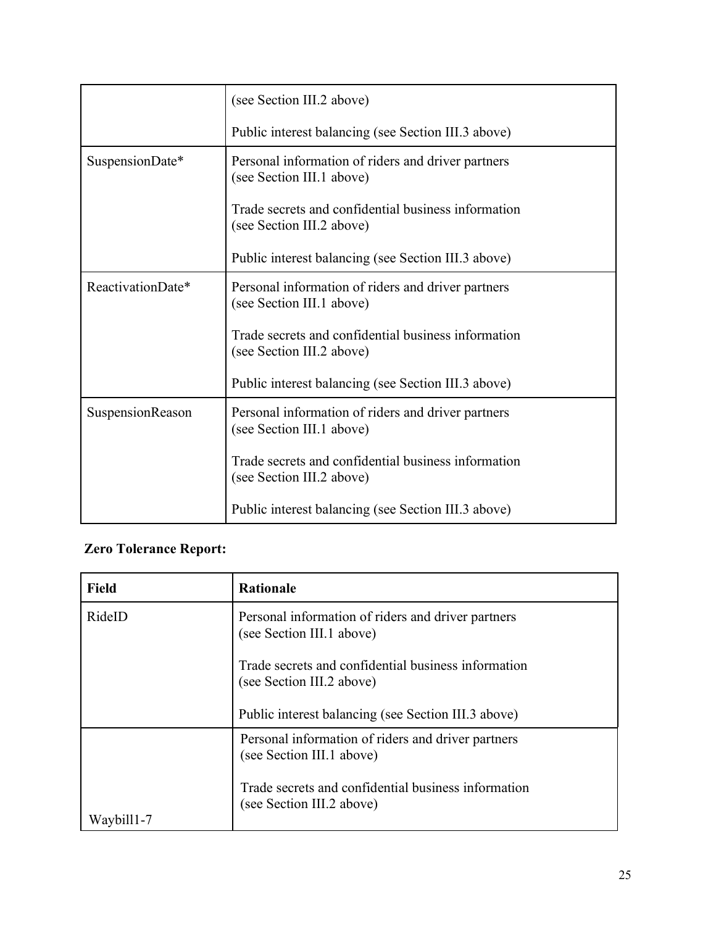|                   | (see Section III.2 above)                                                        |
|-------------------|----------------------------------------------------------------------------------|
|                   | Public interest balancing (see Section III.3 above)                              |
| SuspensionDate*   | Personal information of riders and driver partners<br>(see Section III.1 above)  |
|                   | Trade secrets and confidential business information<br>(see Section III.2 above) |
|                   | Public interest balancing (see Section III.3 above)                              |
| ReactivationDate* | Personal information of riders and driver partners<br>(see Section III.1 above)  |
|                   | Trade secrets and confidential business information<br>(see Section III.2 above) |
|                   | Public interest balancing (see Section III.3 above)                              |
| SuspensionReason  | Personal information of riders and driver partners<br>(see Section III.1 above)  |
|                   | Trade secrets and confidential business information<br>(see Section III.2 above) |
|                   | Public interest balancing (see Section III.3 above)                              |

# **Zero Tolerance Report:**

| <b>Field</b> | <b>Rationale</b>                                                                 |
|--------------|----------------------------------------------------------------------------------|
| RideID       | Personal information of riders and driver partners<br>(see Section III.1 above)  |
|              | Trade secrets and confidential business information<br>(see Section III.2 above) |
|              | Public interest balancing (see Section III.3 above)                              |
|              | Personal information of riders and driver partners<br>(see Section III.1 above)  |
| Waybill1-7   | Trade secrets and confidential business information<br>(see Section III.2 above) |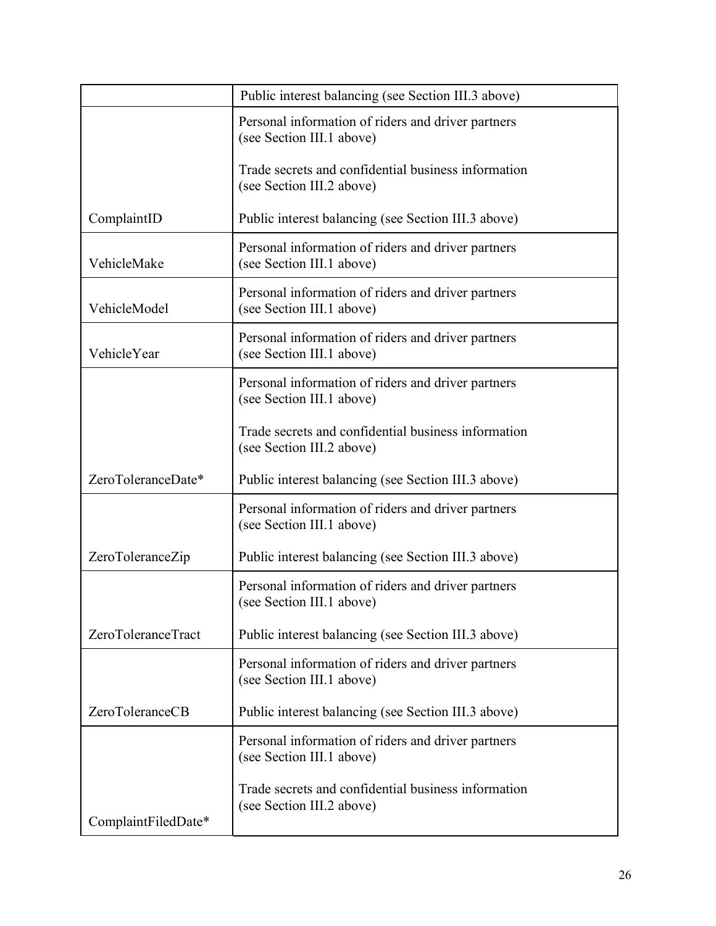|                     | Public interest balancing (see Section III.3 above)                              |
|---------------------|----------------------------------------------------------------------------------|
|                     | Personal information of riders and driver partners<br>(see Section III.1 above)  |
|                     | Trade secrets and confidential business information<br>(see Section III.2 above) |
| ComplaintID         | Public interest balancing (see Section III.3 above)                              |
| VehicleMake         | Personal information of riders and driver partners<br>(see Section III.1 above)  |
| VehicleModel        | Personal information of riders and driver partners<br>(see Section III.1 above)  |
| VehicleYear         | Personal information of riders and driver partners<br>(see Section III.1 above)  |
|                     | Personal information of riders and driver partners<br>(see Section III.1 above)  |
|                     | Trade secrets and confidential business information<br>(see Section III.2 above) |
| ZeroToleranceDate*  | Public interest balancing (see Section III.3 above)                              |
|                     | Personal information of riders and driver partners<br>(see Section III.1 above)  |
| ZeroToleranceZip    | Public interest balancing (see Section III.3 above)                              |
|                     | Personal information of riders and driver partners<br>(see Section III.1 above)  |
| ZeroToleranceTract  | Public interest balancing (see Section III.3 above)                              |
|                     | Personal information of riders and driver partners<br>(see Section III.1 above)  |
| ZeroToleranceCB     | Public interest balancing (see Section III.3 above)                              |
|                     | Personal information of riders and driver partners<br>(see Section III.1 above)  |
| ComplaintFiledDate* | Trade secrets and confidential business information<br>(see Section III.2 above) |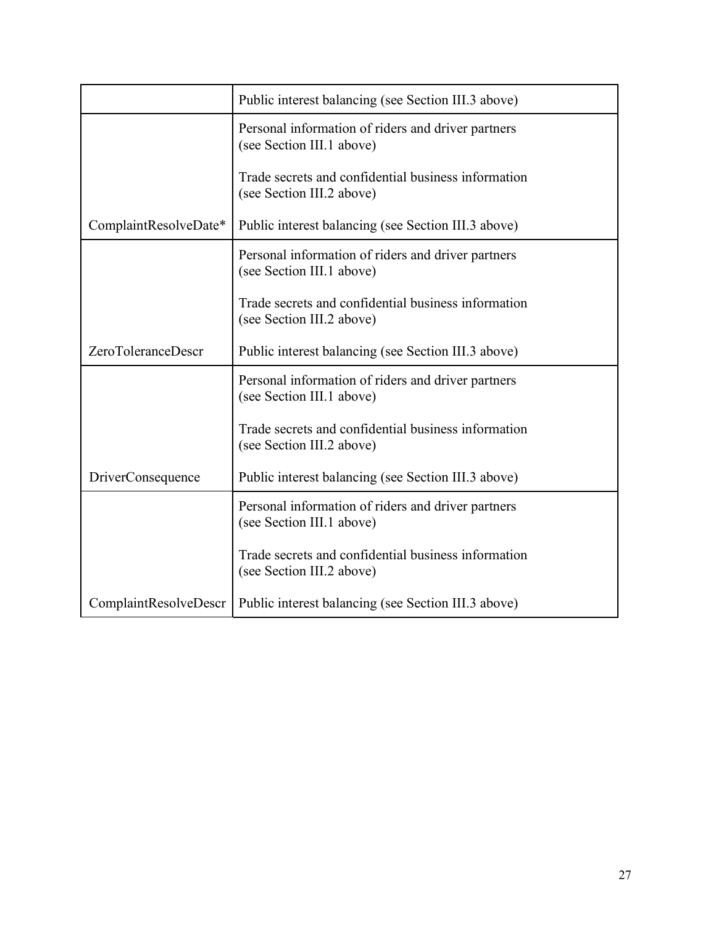|                          | Public interest balancing (see Section III.3 above)                              |
|--------------------------|----------------------------------------------------------------------------------|
|                          | Personal information of riders and driver partners<br>(see Section III.1 above)  |
|                          | Trade secrets and confidential business information<br>(see Section III.2 above) |
| ComplaintResolveDate*    | Public interest balancing (see Section III.3 above)                              |
|                          | Personal information of riders and driver partners<br>(see Section III.1 above)  |
|                          | Trade secrets and confidential business information<br>(see Section III.2 above) |
| ZeroToleranceDescr       | Public interest balancing (see Section III.3 above)                              |
|                          | Personal information of riders and driver partners<br>(see Section III.1 above)  |
|                          | Trade secrets and confidential business information<br>(see Section III.2 above) |
| <b>DriverConsequence</b> | Public interest balancing (see Section III.3 above)                              |
|                          | Personal information of riders and driver partners<br>(see Section III.1 above)  |
|                          | Trade secrets and confidential business information<br>(see Section III.2 above) |
| ComplaintResolveDescr    | Public interest balancing (see Section III.3 above)                              |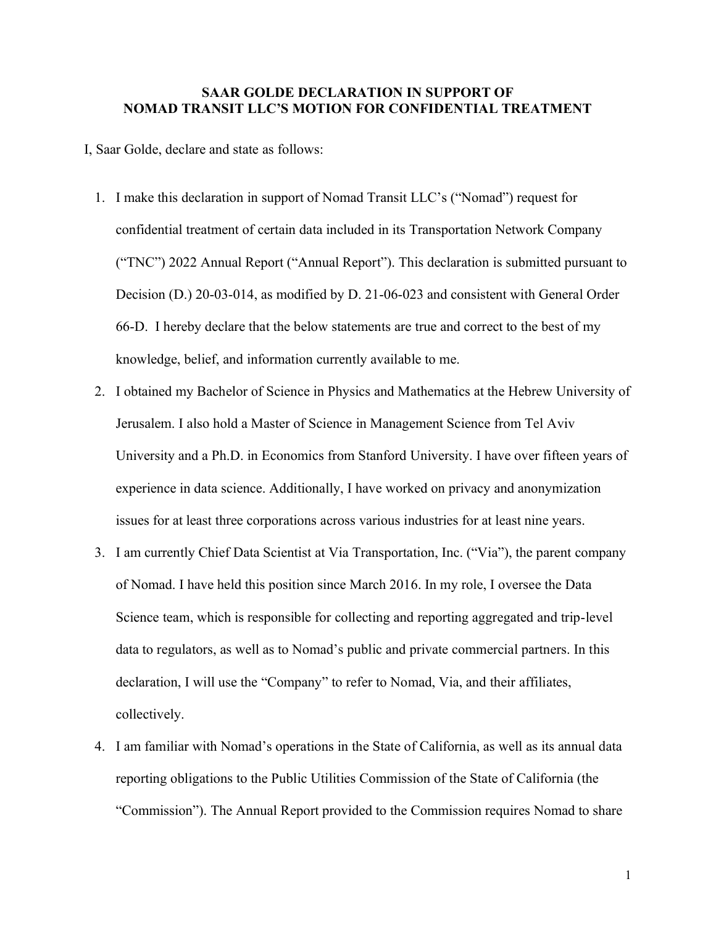#### **SAAR GOLDE DECLARATION IN SUPPORT OF NOMAD TRANSIT LLC'S MOTION FOR CONFIDENTIAL TREATMENT**

- I, Saar Golde, declare and state as follows:
	- 1. I make this declaration in support of Nomad Transit LLC's ("Nomad") request for confidential treatment of certain data included in its Transportation Network Company ("TNC") 2022 Annual Report ("Annual Report"). This declaration is submitted pursuant to Decision (D.) 20-03-014, as modified by D. 21-06-023 and consistent with General Order 66-D. I hereby declare that the below statements are true and correct to the best of my knowledge, belief, and information currently available to me.
	- 2. I obtained my Bachelor of Science in Physics and Mathematics at the Hebrew University of Jerusalem. I also hold a Master of Science in Management Science from Tel Aviv University and a Ph.D. in Economics from Stanford University. I have over fifteen years of experience in data science. Additionally, I have worked on privacy and anonymization issues for at least three corporations across various industries for at least nine years.
	- 3. I am currently Chief Data Scientist at Via Transportation, Inc. ("Via"), the parent company of Nomad. I have held this position since March 2016. In my role, I oversee the Data Science team, which is responsible for collecting and reporting aggregated and trip-level data to regulators, as well as to Nomad's public and private commercial partners. In this declaration, I will use the "Company" to refer to Nomad, Via, and their affiliates, collectively.
	- 4. I am familiar with Nomad's operations in the State of California, as well as its annual data reporting obligations to the Public Utilities Commission of the State of California (the "Commission"). The Annual Report provided to the Commission requires Nomad to share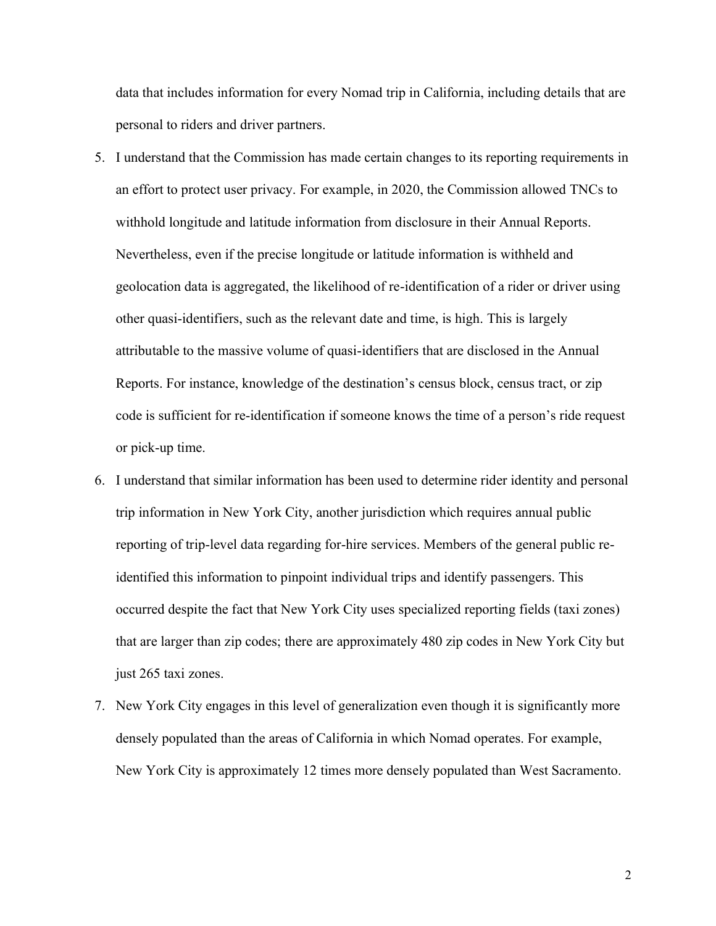data that includes information for every Nomad trip in California, including details that are personal to riders and driver partners.

- 5. I understand that the Commission has made certain changes to its reporting requirements in an effort to protect user privacy. For example, in 2020, the Commission allowed TNCs to withhold longitude and latitude information from disclosure in their Annual Reports. Nevertheless, even if the precise longitude or latitude information is withheld and geolocation data is aggregated, the likelihood of re-identification of a rider or driver using other quasi-identifiers, such as the relevant date and time, is high. This is largely attributable to the massive volume of quasi-identifiers that are disclosed in the Annual Reports. For instance, knowledge of the destination's census block, census tract, or zip code is sufficient for re-identification if someone knows the time of a person's ride request or pick-up time.
- 6. I understand that similar information has been used to determine rider identity and personal trip information in New York City, another jurisdiction which requires annual public reporting of trip-level data regarding for-hire services. Members of the general public reidentified this information to pinpoint individual trips and identify passengers. This occurred despite the fact that New York City uses specialized reporting fields (taxi zones) that are larger than zip codes; there are approximately 480 zip codes in New York City but just 265 taxi zones.
- 7. New York City engages in this level of generalization even though it is significantly more densely populated than the areas of California in which Nomad operates. For example, New York City is approximately 12 times more densely populated than West Sacramento.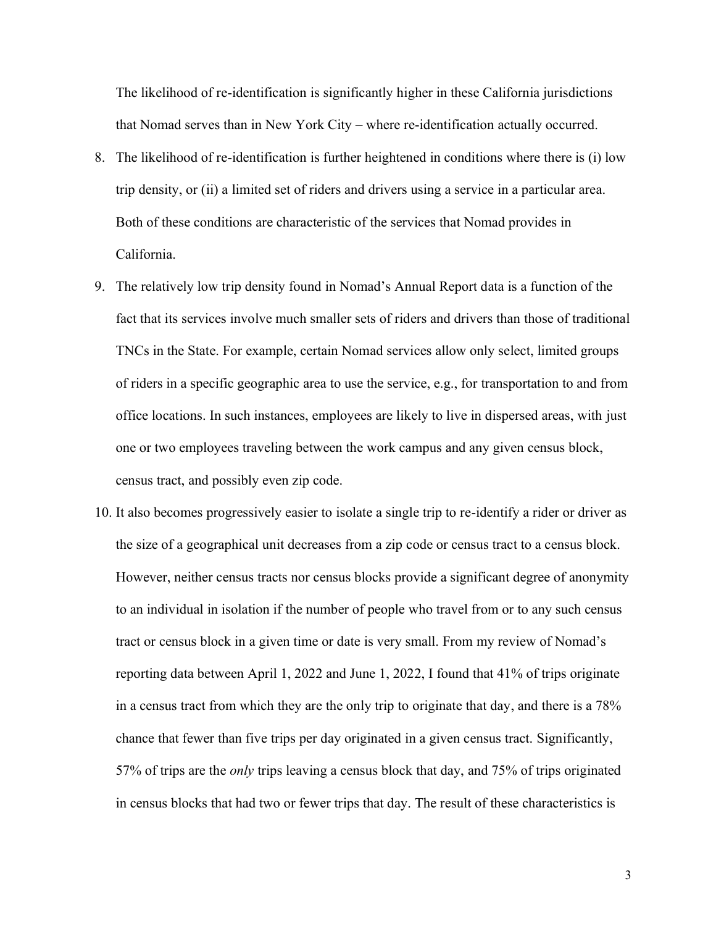The likelihood of re-identification is significantly higher in these California jurisdictions that Nomad serves than in New York City – where re-identification actually occurred.

- 8. The likelihood of re-identification is further heightened in conditions where there is (i) low trip density, or (ii) a limited set of riders and drivers using a service in a particular area. Both of these conditions are characteristic of the services that Nomad provides in California.
- 9. The relatively low trip density found in Nomad's Annual Report data is a function of the fact that its services involve much smaller sets of riders and drivers than those of traditional TNCs in the State. For example, certain Nomad services allow only select, limited groups of riders in a specific geographic area to use the service, e.g., for transportation to and from office locations. In such instances, employees are likely to live in dispersed areas, with just one or two employees traveling between the work campus and any given census block, census tract, and possibly even zip code.
- 10. It also becomes progressively easier to isolate a single trip to re-identify a rider or driver as the size of a geographical unit decreases from a zip code or census tract to a census block. However, neither census tracts nor census blocks provide a significant degree of anonymity to an individual in isolation if the number of people who travel from or to any such census tract or census block in a given time or date is very small. From my review of Nomad's reporting data between April 1, 2022 and June 1, 2022, I found that 41% of trips originate in a census tract from which they are the only trip to originate that day, and there is a 78% chance that fewer than five trips per day originated in a given census tract. Significantly, 57% of trips are the *only* trips leaving a census block that day, and 75% of trips originated in census blocks that had two or fewer trips that day. The result of these characteristics is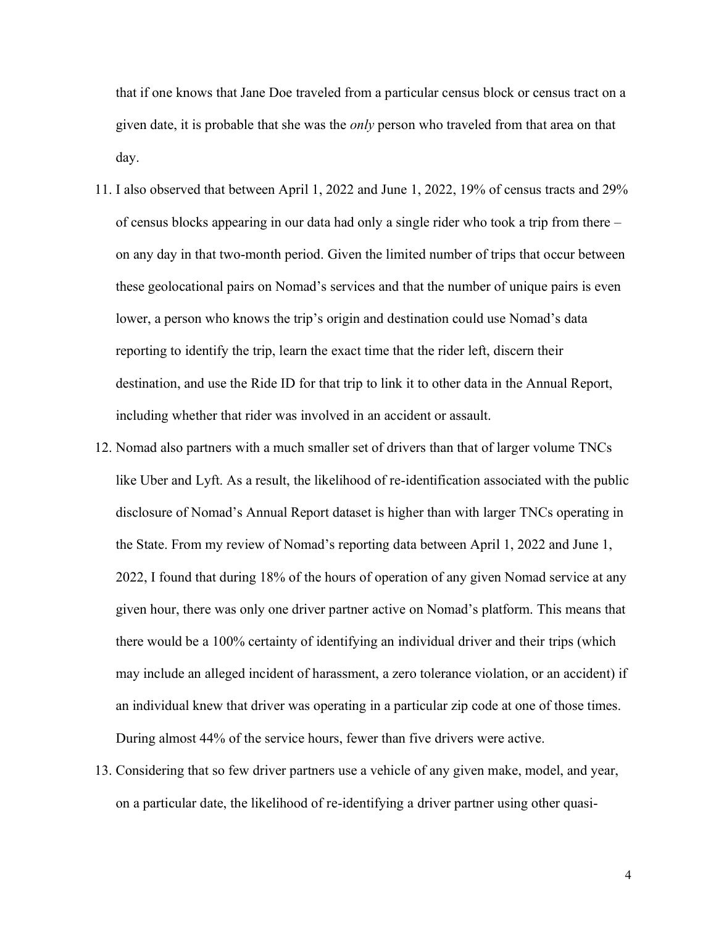that if one knows that Jane Doe traveled from a particular census block or census tract on a given date, it is probable that she was the *only* person who traveled from that area on that day.

- 11. I also observed that between April 1, 2022 and June 1, 2022, 19% of census tracts and 29% of census blocks appearing in our data had only a single rider who took a trip from there – on any day in that two-month period. Given the limited number of trips that occur between these geolocational pairs on Nomad's services and that the number of unique pairs is even lower, a person who knows the trip's origin and destination could use Nomad's data reporting to identify the trip, learn the exact time that the rider left, discern their destination, and use the Ride ID for that trip to link it to other data in the Annual Report, including whether that rider was involved in an accident or assault.
- 12. Nomad also partners with a much smaller set of drivers than that of larger volume TNCs like Uber and Lyft. As a result, the likelihood of re-identification associated with the public disclosure of Nomad's Annual Report dataset is higher than with larger TNCs operating in the State. From my review of Nomad's reporting data between April 1, 2022 and June 1, 2022, I found that during 18% of the hours of operation of any given Nomad service at any given hour, there was only one driver partner active on Nomad's platform. This means that there would be a 100% certainty of identifying an individual driver and their trips (which may include an alleged incident of harassment, a zero tolerance violation, or an accident) if an individual knew that driver was operating in a particular zip code at one of those times. During almost 44% of the service hours, fewer than five drivers were active.
- 13. Considering that so few driver partners use a vehicle of any given make, model, and year, on a particular date, the likelihood of re-identifying a driver partner using other quasi-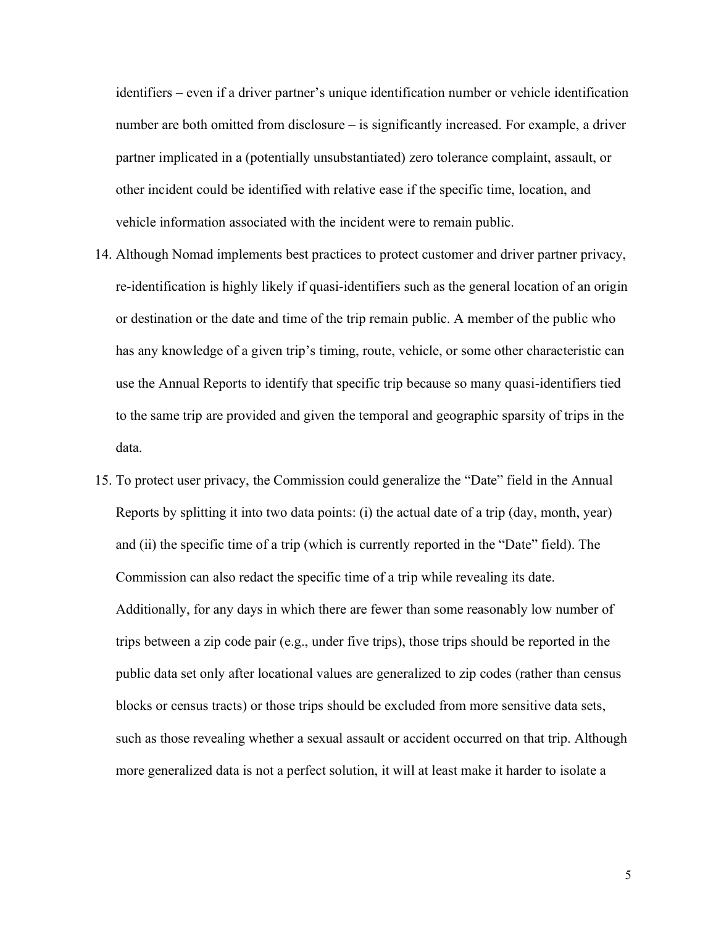identifiers – even if a driver partner's unique identification number or vehicle identification number are both omitted from disclosure – is significantly increased. For example, a driver partner implicated in a (potentially unsubstantiated) zero tolerance complaint, assault, or other incident could be identified with relative ease if the specific time, location, and vehicle information associated with the incident were to remain public.

- 14. Although Nomad implements best practices to protect customer and driver partner privacy, re-identification is highly likely if quasi-identifiers such as the general location of an origin or destination or the date and time of the trip remain public. A member of the public who has any knowledge of a given trip's timing, route, vehicle, or some other characteristic can use the Annual Reports to identify that specific trip because so many quasi-identifiers tied to the same trip are provided and given the temporal and geographic sparsity of trips in the data.
- 15. To protect user privacy, the Commission could generalize the "Date" field in the Annual Reports by splitting it into two data points: (i) the actual date of a trip (day, month, year) and (ii) the specific time of a trip (which is currently reported in the "Date" field). The Commission can also redact the specific time of a trip while revealing its date. Additionally, for any days in which there are fewer than some reasonably low number of trips between a zip code pair (e.g., under five trips), those trips should be reported in the public data set only after locational values are generalized to zip codes (rather than census blocks or census tracts) or those trips should be excluded from more sensitive data sets, such as those revealing whether a sexual assault or accident occurred on that trip. Although more generalized data is not a perfect solution, it will at least make it harder to isolate a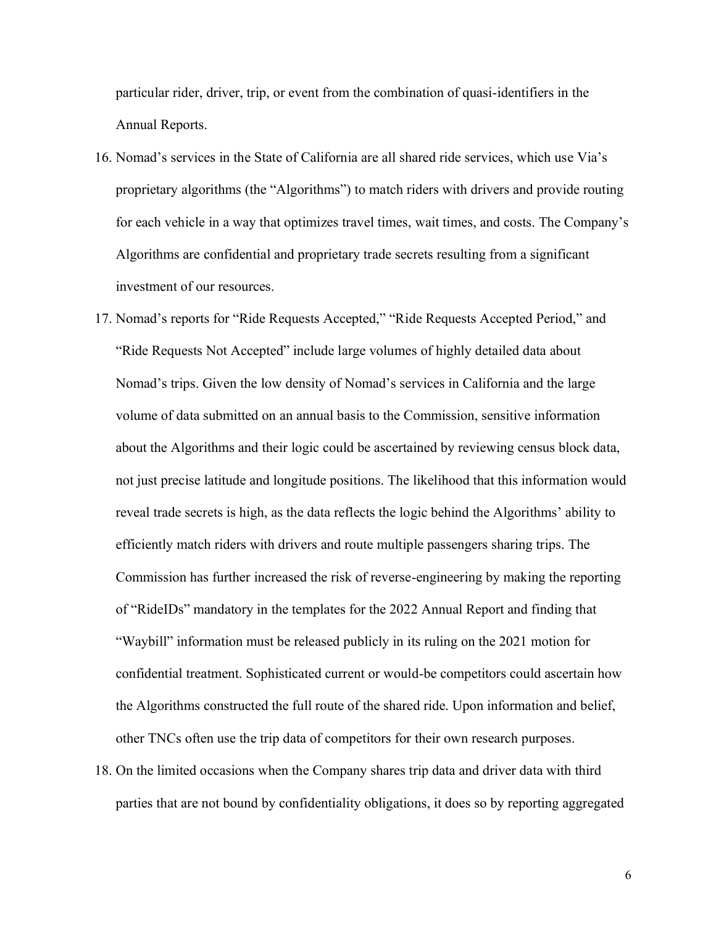particular rider, driver, trip, or event from the combination of quasi-identifiers in the Annual Reports.

- 16. Nomad's services in the State of California are all shared ride services, which use Via's proprietary algorithms (the "Algorithms") to match riders with drivers and provide routing for each vehicle in a way that optimizes travel times, wait times, and costs. The Company's Algorithms are confidential and proprietary trade secrets resulting from a significant investment of our resources.
- 17. Nomad's reports for "Ride Requests Accepted," "Ride Requests Accepted Period," and "Ride Requests Not Accepted" include large volumes of highly detailed data about Nomad's trips. Given the low density of Nomad's services in California and the large volume of data submitted on an annual basis to the Commission, sensitive information about the Algorithms and their logic could be ascertained by reviewing census block data, not just precise latitude and longitude positions. The likelihood that this information would reveal trade secrets is high, as the data reflects the logic behind the Algorithms' ability to efficiently match riders with drivers and route multiple passengers sharing trips. The Commission has further increased the risk of reverse-engineering by making the reporting of "RideIDs" mandatory in the templates for the 2022 Annual Report and finding that "Waybill" information must be released publicly in its ruling on the 2021 motion for confidential treatment. Sophisticated current or would-be competitors could ascertain how the Algorithms constructed the full route of the shared ride. Upon information and belief, other TNCs often use the trip data of competitors for their own research purposes.
- 18. On the limited occasions when the Company shares trip data and driver data with third parties that are not bound by confidentiality obligations, it does so by reporting aggregated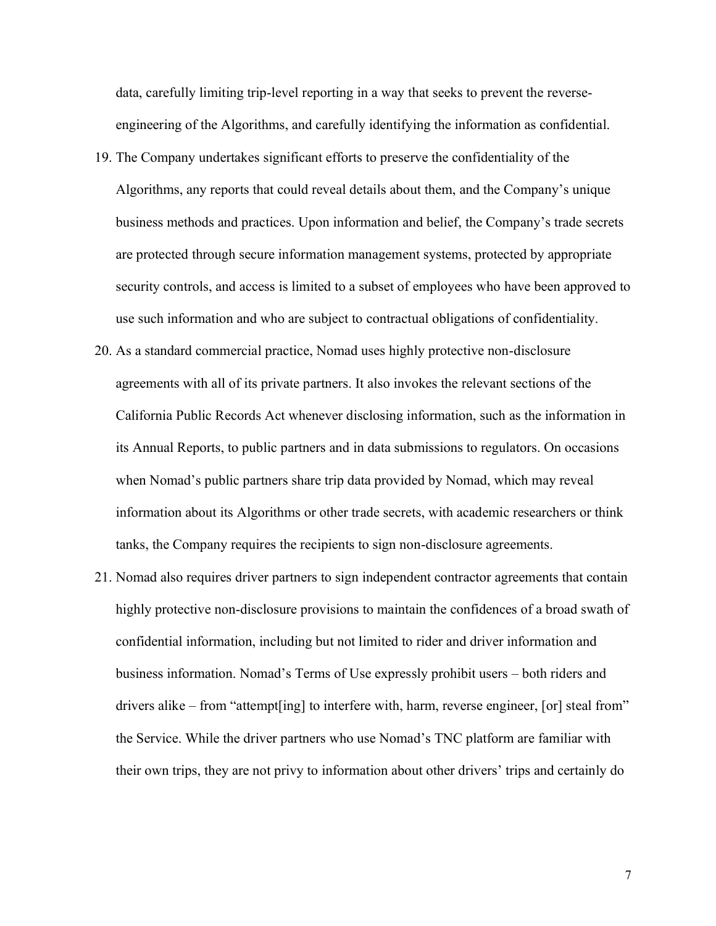data, carefully limiting trip-level reporting in a way that seeks to prevent the reverseengineering of the Algorithms, and carefully identifying the information as confidential.

- 19. The Company undertakes significant efforts to preserve the confidentiality of the Algorithms, any reports that could reveal details about them, and the Company's unique business methods and practices. Upon information and belief, the Company's trade secrets are protected through secure information management systems, protected by appropriate security controls, and access is limited to a subset of employees who have been approved to use such information and who are subject to contractual obligations of confidentiality.
- 20. As a standard commercial practice, Nomad uses highly protective non-disclosure agreements with all of its private partners. It also invokes the relevant sections of the California Public Records Act whenever disclosing information, such as the information in its Annual Reports, to public partners and in data submissions to regulators. On occasions when Nomad's public partners share trip data provided by Nomad, which may reveal information about its Algorithms or other trade secrets, with academic researchers or think tanks, the Company requires the recipients to sign non-disclosure agreements.
- 21. Nomad also requires driver partners to sign independent contractor agreements that contain highly protective non-disclosure provisions to maintain the confidences of a broad swath of confidential information, including but not limited to rider and driver information and business information. Nomad's Terms of Use expressly prohibit users – both riders and drivers alike – from "attempt[ing] to interfere with, harm, reverse engineer, [or] steal from" the Service. While the driver partners who use Nomad's TNC platform are familiar with their own trips, they are not privy to information about other drivers' trips and certainly do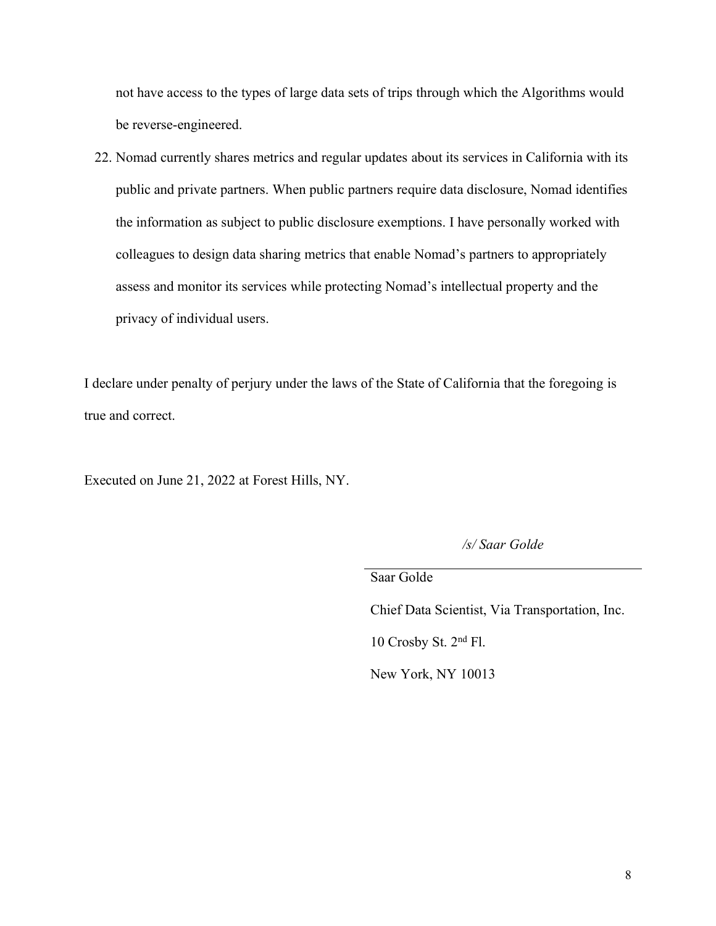not have access to the types of large data sets of trips through which the Algorithms would be reverse-engineered.

22. Nomad currently shares metrics and regular updates about its services in California with its public and private partners. When public partners require data disclosure, Nomad identifies the information as subject to public disclosure exemptions. I have personally worked with colleagues to design data sharing metrics that enable Nomad's partners to appropriately assess and monitor its services while protecting Nomad's intellectual property and the privacy of individual users.

I declare under penalty of perjury under the laws of the State of California that the foregoing is true and correct.

Executed on June 21, 2022 at Forest Hills, NY.

*/s/ Saar Golde*

Saar Golde

Chief Data Scientist, Via Transportation, Inc.

10 Crosby St. 2nd Fl.

New York, NY 10013